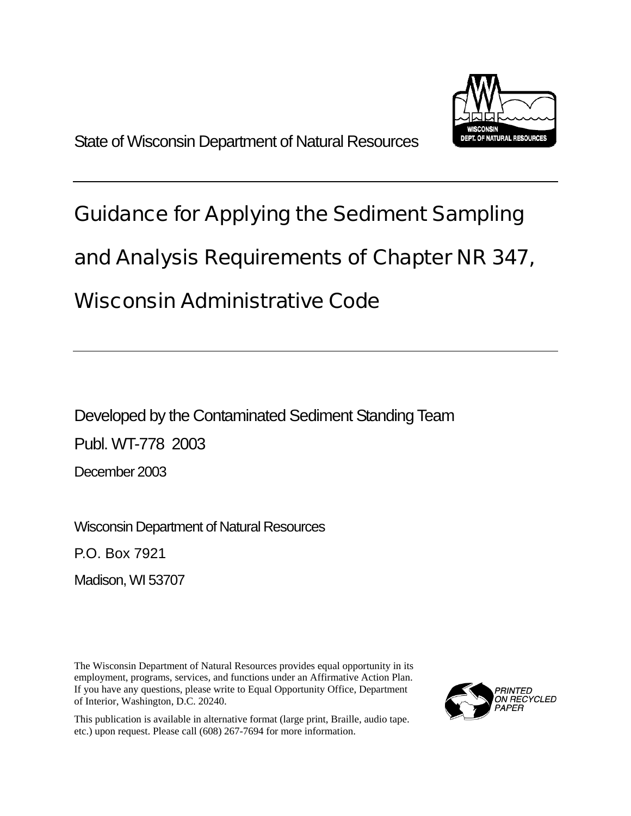

# Guidance for Applying the Sediment Sampling

## and Analysis Requirements of Chapter NR 347,

## Wisconsin Administrative Code

Developed by the Contaminated Sediment Standing Team Publ. WT-778 2003 December 2003

Wisconsin Department of Natural Resources

P.O. Box 7921

Madison, WI 53707

The Wisconsin Department of Natural Resources provides equal opportunity in its employment, programs, services, and functions under an Affirmative Action Plan. If you have any questions, please write to Equal Opportunity Office, Department of Interior, Washington, D.C. 20240.

This publication is available in alternative format (large print, Braille, audio tape. etc.) upon request. Please call (608) 267-7694 for more information.

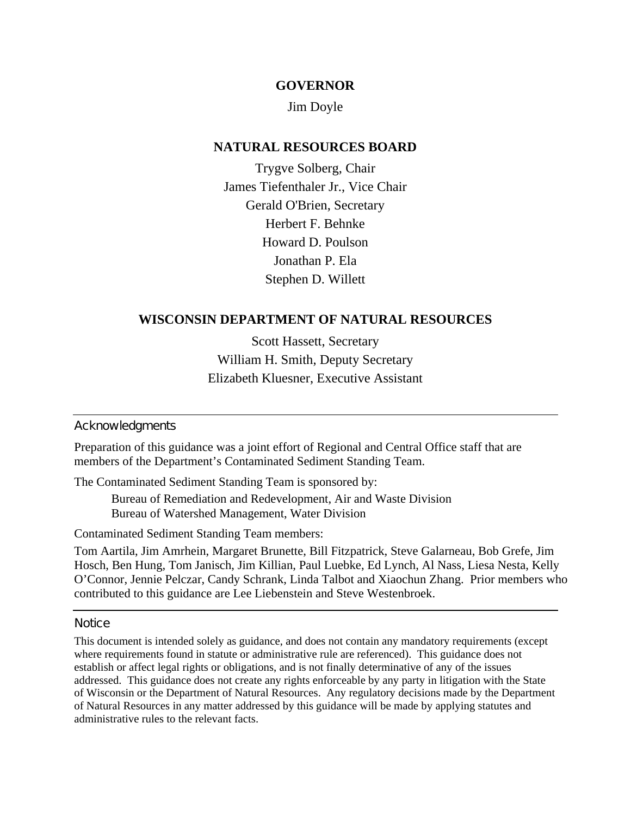#### **GOVERNOR**

#### Jim Doyle

## **NATURAL RESOURCES BOARD**

Trygve Solberg, Chair James Tiefenthaler Jr., Vice Chair Gerald O'Brien, Secretary Herbert F. Behnke Howard D. Poulson Jonathan P. Ela Stephen D. Willett

#### **WISCONSIN DEPARTMENT OF NATURAL RESOURCES**

Scott Hassett, Secretary William H. Smith, Deputy Secretary Elizabeth Kluesner, Executive Assistant

#### **Acknowledgments**

Preparation of this guidance was a joint effort of Regional and Central Office staff that are members of the Department's Contaminated Sediment Standing Team.

The Contaminated Sediment Standing Team is sponsored by:

Bureau of Remediation and Redevelopment, Air and Waste Division Bureau of Watershed Management, Water Division

Contaminated Sediment Standing Team members:

Tom Aartila, Jim Amrhein, Margaret Brunette, Bill Fitzpatrick, Steve Galarneau, Bob Grefe, Jim Hosch, Ben Hung, Tom Janisch, Jim Killian, Paul Luebke, Ed Lynch, Al Nass, Liesa Nesta, Kelly O'Connor, Jennie Pelczar, Candy Schrank, Linda Talbot and Xiaochun Zhang. Prior members who contributed to this guidance are Lee Liebenstein and Steve Westenbroek.

#### **Notice**

This document is intended solely as guidance, and does not contain any mandatory requirements (except where requirements found in statute or administrative rule are referenced). This guidance does not establish or affect legal rights or obligations, and is not finally determinative of any of the issues addressed. This guidance does not create any rights enforceable by any party in litigation with the State of Wisconsin or the Department of Natural Resources. Any regulatory decisions made by the Department of Natural Resources in any matter addressed by this guidance will be made by applying statutes and administrative rules to the relevant facts.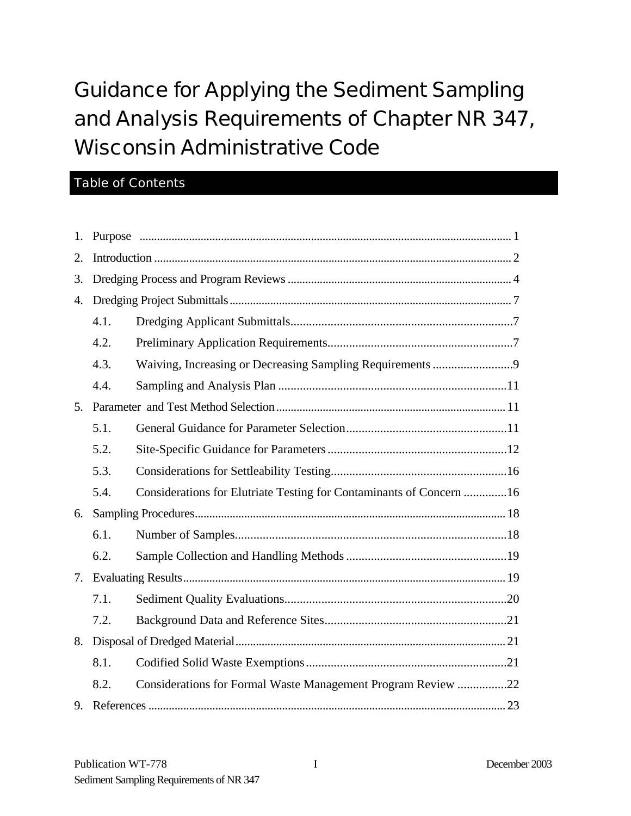# Guidance for Applying the Sediment Sampling and Analysis Requirements of Chapter NR 347, Wisconsin Administrative Code

## Table of Contents

| 1.             |      |                                                                     |  |
|----------------|------|---------------------------------------------------------------------|--|
| 2.             |      |                                                                     |  |
| 3.             |      |                                                                     |  |
| 4.             |      |                                                                     |  |
|                | 4.1. |                                                                     |  |
|                | 4.2. |                                                                     |  |
|                | 4.3. |                                                                     |  |
|                | 4.4. |                                                                     |  |
| 5 <sub>1</sub> |      |                                                                     |  |
|                | 5.1. |                                                                     |  |
|                | 5.2. |                                                                     |  |
|                | 5.3. |                                                                     |  |
|                | 5.4. | Considerations for Elutriate Testing for Contaminants of Concern 16 |  |
| 6.             |      |                                                                     |  |
|                | 6.1. |                                                                     |  |
|                | 6.2. |                                                                     |  |
|                |      |                                                                     |  |
|                | 7.1. |                                                                     |  |
|                | 7.2. |                                                                     |  |
|                |      |                                                                     |  |
|                | 8.1. |                                                                     |  |
|                | 8.2. | Considerations for Formal Waste Management Program Review 22        |  |
| 9.             |      |                                                                     |  |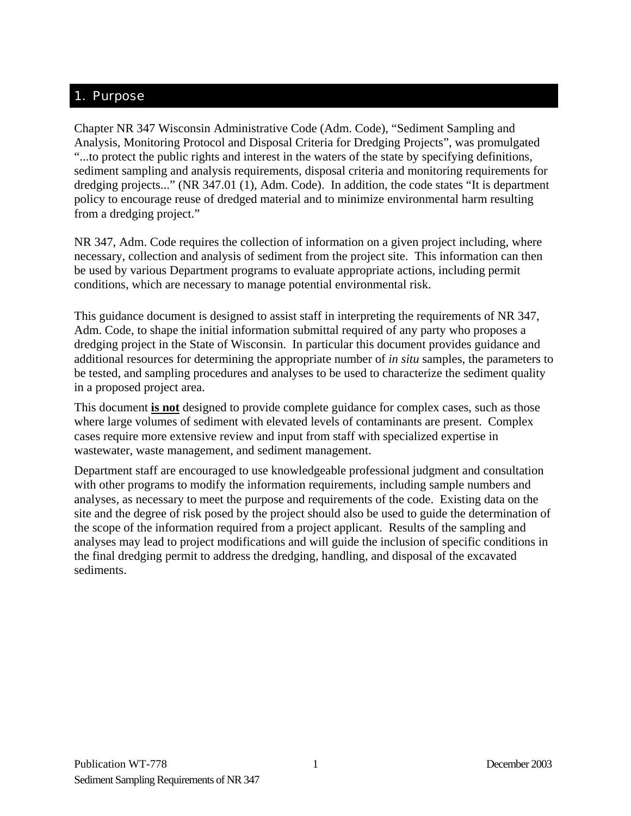## <span id="page-3-0"></span>1. Purpose

Chapter NR 347 Wisconsin Administrative Code (Adm. Code), "Sediment Sampling and Analysis, Monitoring Protocol and Disposal Criteria for Dredging Projects", was promulgated "...to protect the public rights and interest in the waters of the state by specifying definitions, sediment sampling and analysis requirements, disposal criteria and monitoring requirements for dredging projects..." (NR 347.01 (1), Adm. Code). In addition, the code states "It is department policy to encourage reuse of dredged material and to minimize environmental harm resulting from a dredging project."

NR 347, Adm. Code requires the collection of information on a given project including, where necessary, collection and analysis of sediment from the project site. This information can then be used by various Department programs to evaluate appropriate actions, including permit conditions, which are necessary to manage potential environmental risk.

This guidance document is designed to assist staff in interpreting the requirements of NR 347, Adm. Code, to shape the initial information submittal required of any party who proposes a dredging project in the State of Wisconsin. In particular this document provides guidance and additional resources for determining the appropriate number of *in situ* samples, the parameters to be tested, and sampling procedures and analyses to be used to characterize the sediment quality in a proposed project area.

This document **is not** designed to provide complete guidance for complex cases, such as those where large volumes of sediment with elevated levels of contaminants are present. Complex cases require more extensive review and input from staff with specialized expertise in wastewater, waste management, and sediment management.

Department staff are encouraged to use knowledgeable professional judgment and consultation with other programs to modify the information requirements, including sample numbers and analyses, as necessary to meet the purpose and requirements of the code. Existing data on the site and the degree of risk posed by the project should also be used to guide the determination of the scope of the information required from a project applicant. Results of the sampling and analyses may lead to project modifications and will guide the inclusion of specific conditions in the final dredging permit to address the dredging, handling, and disposal of the excavated sediments.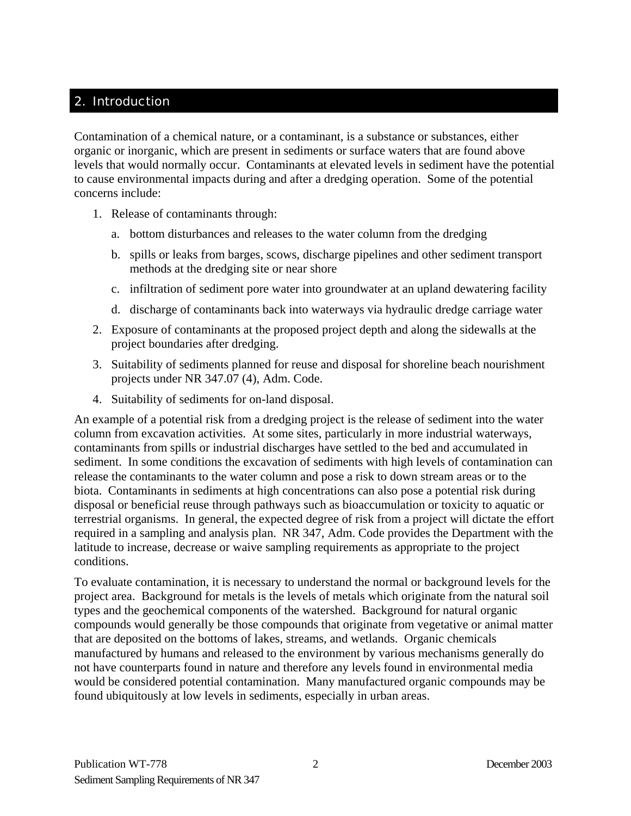## <span id="page-4-0"></span>2. Introduction

Contamination of a chemical nature, or a contaminant, is a substance or substances, either organic or inorganic, which are present in sediments or surface waters that are found above levels that would normally occur. Contaminants at elevated levels in sediment have the potential to cause environmental impacts during and after a dredging operation. Some of the potential concerns include:

- 1. Release of contaminants through:
	- a. bottom disturbances and releases to the water column from the dredging
	- b. spills or leaks from barges, scows, discharge pipelines and other sediment transport methods at the dredging site or near shore
	- c. infiltration of sediment pore water into groundwater at an upland dewatering facility
	- d. discharge of contaminants back into waterways via hydraulic dredge carriage water
- 2. Exposure of contaminants at the proposed project depth and along the sidewalls at the project boundaries after dredging.
- 3. Suitability of sediments planned for reuse and disposal for shoreline beach nourishment projects under NR 347.07 (4), Adm. Code.
- 4. Suitability of sediments for on-land disposal.

An example of a potential risk from a dredging project is the release of sediment into the water column from excavation activities. At some sites, particularly in more industrial waterways, contaminants from spills or industrial discharges have settled to the bed and accumulated in sediment. In some conditions the excavation of sediments with high levels of contamination can release the contaminants to the water column and pose a risk to down stream areas or to the biota. Contaminants in sediments at high concentrations can also pose a potential risk during disposal or beneficial reuse through pathways such as bioaccumulation or toxicity to aquatic or terrestrial organisms. In general, the expected degree of risk from a project will dictate the effort required in a sampling and analysis plan. NR 347, Adm. Code provides the Department with the latitude to increase, decrease or waive sampling requirements as appropriate to the project conditions.

To evaluate contamination, it is necessary to understand the normal or background levels for the project area. Background for metals is the levels of metals which originate from the natural soil types and the geochemical components of the watershed. Background for natural organic compounds would generally be those compounds that originate from vegetative or animal matter that are deposited on the bottoms of lakes, streams, and wetlands. Organic chemicals manufactured by humans and released to the environment by various mechanisms generally do not have counterparts found in nature and therefore any levels found in environmental media would be considered potential contamination. Many manufactured organic compounds may be found ubiquitously at low levels in sediments, especially in urban areas.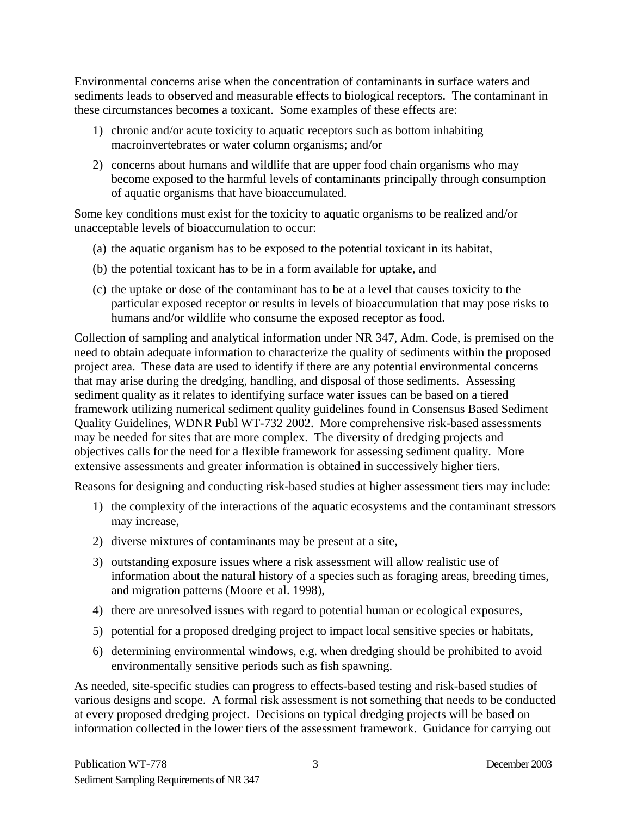Environmental concerns arise when the concentration of contaminants in surface waters and sediments leads to observed and measurable effects to biological receptors. The contaminant in these circumstances becomes a toxicant. Some examples of these effects are:

- 1) chronic and/or acute toxicity to aquatic receptors such as bottom inhabiting macroinvertebrates or water column organisms; and/or
- 2) concerns about humans and wildlife that are upper food chain organisms who may become exposed to the harmful levels of contaminants principally through consumption of aquatic organisms that have bioaccumulated.

Some key conditions must exist for the toxicity to aquatic organisms to be realized and/or unacceptable levels of bioaccumulation to occur:

- (a) the aquatic organism has to be exposed to the potential toxicant in its habitat,
- (b) the potential toxicant has to be in a form available for uptake, and
- (c) the uptake or dose of the contaminant has to be at a level that causes toxicity to the particular exposed receptor or results in levels of bioaccumulation that may pose risks to humans and/or wildlife who consume the exposed receptor as food.

Collection of sampling and analytical information under NR 347, Adm. Code, is premised on the need to obtain adequate information to characterize the quality of sediments within the proposed project area. These data are used to identify if there are any potential environmental concerns that may arise during the dredging, handling, and disposal of those sediments. Assessing sediment quality as it relates to identifying surface water issues can be based on a tiered framework utilizing numerical sediment quality guidelines found in Consensus Based Sediment Quality Guidelines, WDNR Publ WT-732 2002. More comprehensive risk-based assessments may be needed for sites that are more complex. The diversity of dredging projects and objectives calls for the need for a flexible framework for assessing sediment quality. More extensive assessments and greater information is obtained in successively higher tiers.

Reasons for designing and conducting risk-based studies at higher assessment tiers may include:

- 1) the complexity of the interactions of the aquatic ecosystems and the contaminant stressors may increase,
- 2) diverse mixtures of contaminants may be present at a site,
- 3) outstanding exposure issues where a risk assessment will allow realistic use of information about the natural history of a species such as foraging areas, breeding times, and migration patterns (Moore et al. 1998),
- 4) there are unresolved issues with regard to potential human or ecological exposures,
- 5) potential for a proposed dredging project to impact local sensitive species or habitats,
- 6) determining environmental windows, e.g. when dredging should be prohibited to avoid environmentally sensitive periods such as fish spawning.

As needed, site-specific studies can progress to effects-based testing and risk-based studies of various designs and scope. A formal risk assessment is not something that needs to be conducted at every proposed dredging project. Decisions on typical dredging projects will be based on information collected in the lower tiers of the assessment framework. Guidance for carrying out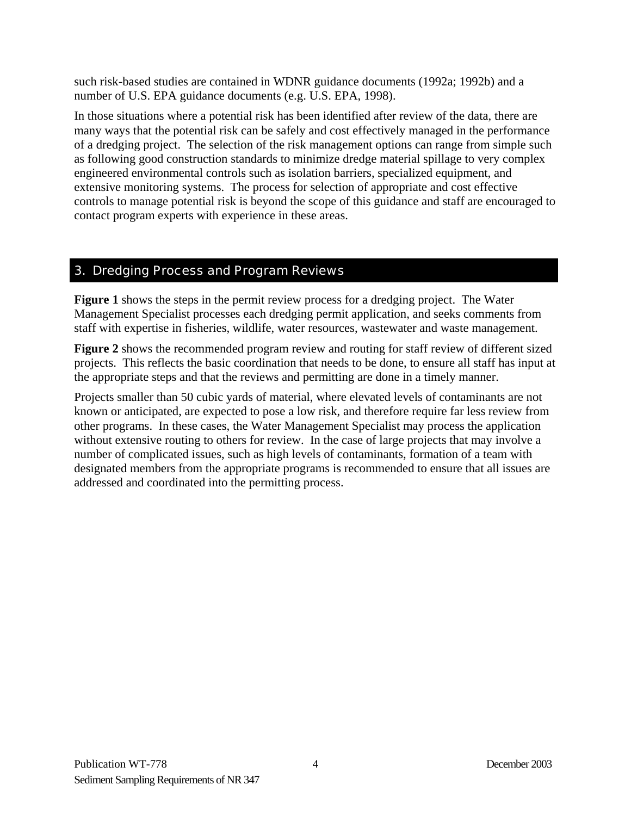<span id="page-6-0"></span>such risk-based studies are contained in WDNR guidance documents (1992a; 1992b) and a number of U.S. EPA guidance documents (e.g. U.S. EPA, 1998).

In those situations where a potential risk has been identified after review of the data, there are many ways that the potential risk can be safely and cost effectively managed in the performance of a dredging project. The selection of the risk management options can range from simple such as following good construction standards to minimize dredge material spillage to very complex engineered environmental controls such as isolation barriers, specialized equipment, and extensive monitoring systems. The process for selection of appropriate and cost effective controls to manage potential risk is beyond the scope of this guidance and staff are encouraged to contact program experts with experience in these areas.

## 3. Dredging Process and Program Reviews

**Figure 1** shows the steps in the permit review process for a dredging project. The Water Management Specialist processes each dredging permit application, and seeks comments from staff with expertise in fisheries, wildlife, water resources, wastewater and waste management.

**Figure 2** shows the recommended program review and routing for staff review of different sized projects. This reflects the basic coordination that needs to be done, to ensure all staff has input at the appropriate steps and that the reviews and permitting are done in a timely manner.

Projects smaller than 50 cubic yards of material, where elevated levels of contaminants are not known or anticipated, are expected to pose a low risk, and therefore require far less review from other programs. In these cases, the Water Management Specialist may process the application without extensive routing to others for review. In the case of large projects that may involve a number of complicated issues, such as high levels of contaminants, formation of a team with designated members from the appropriate programs is recommended to ensure that all issues are addressed and coordinated into the permitting process.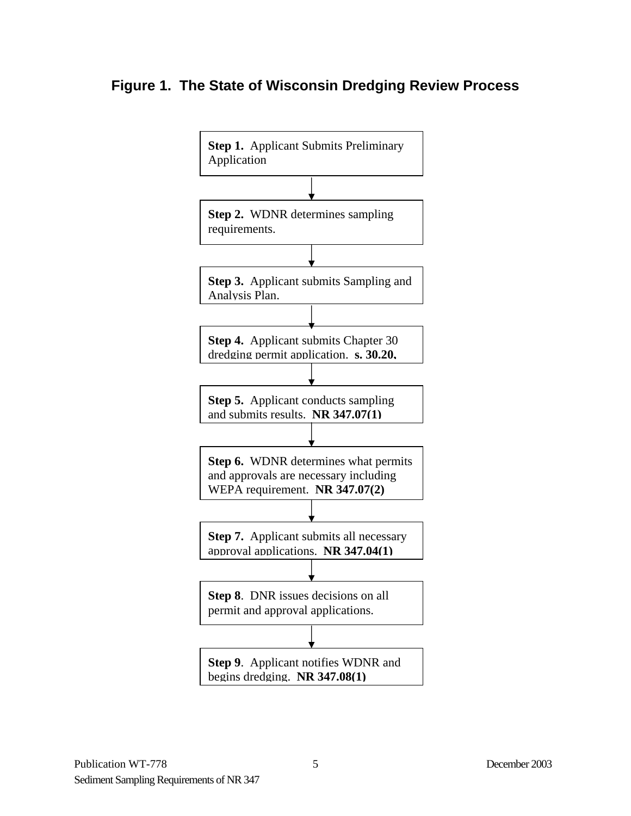## **Figure 1. The State of Wisconsin Dredging Review Process**

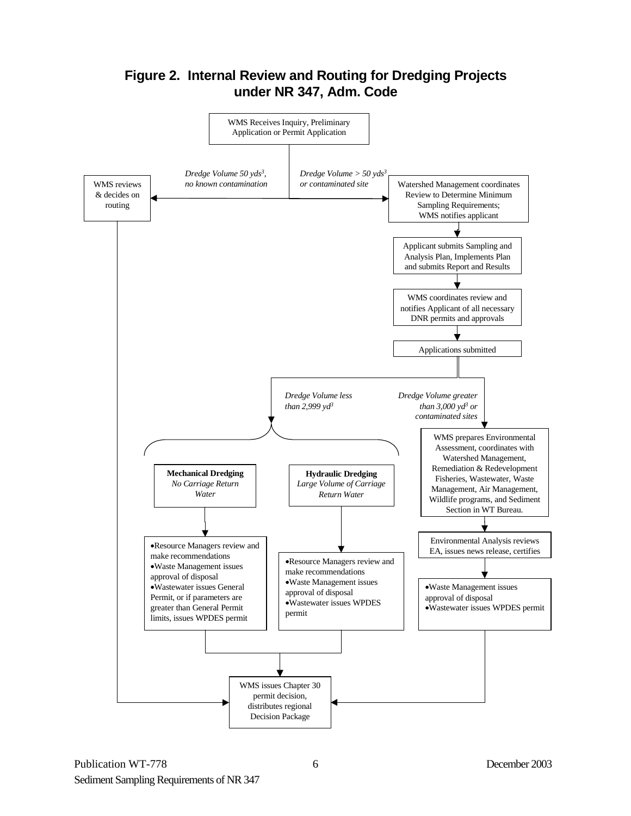## **Figure 2. Internal Review and Routing for Dredging Projects under NR 347, Adm. Code**

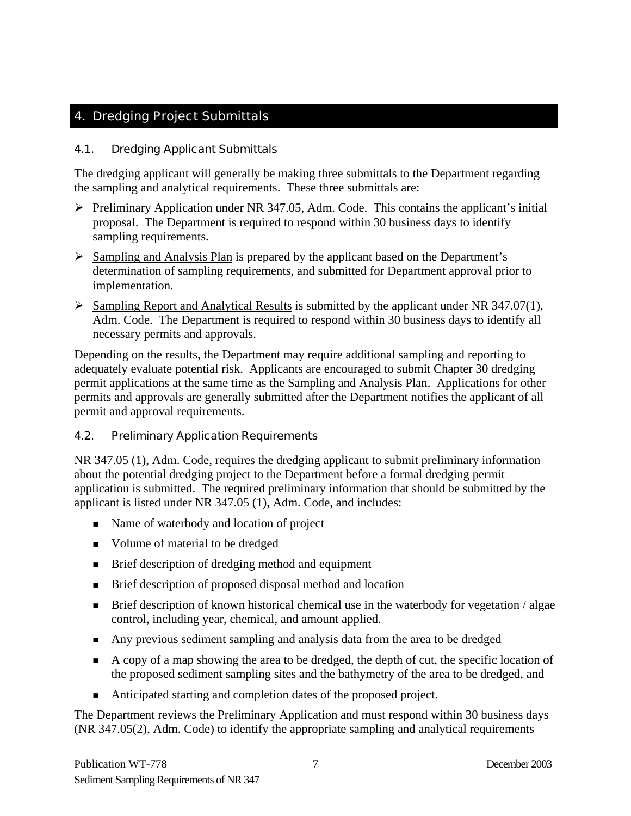## <span id="page-9-0"></span>4. Dredging Project Submittals

## 4.1. Dredging Applicant Submittals

The dredging applicant will generally be making three submittals to the Department regarding the sampling and analytical requirements. These three submittals are:

- $\triangleright$  Preliminary Application under NR 347.05, Adm. Code. This contains the applicant's initial proposal. The Department is required to respond within 30 business days to identify sampling requirements.
- $\triangleright$  Sampling and Analysis Plan is prepared by the applicant based on the Department's determination of sampling requirements, and submitted for Department approval prior to implementation.
- ¾ Sampling Report and Analytical Results is submitted by the applicant under NR 347.07(1), Adm. Code. The Department is required to respond within 30 business days to identify all necessary permits and approvals.

Depending on the results, the Department may require additional sampling and reporting to adequately evaluate potential risk. Applicants are encouraged to submit Chapter 30 dredging permit applications at the same time as the Sampling and Analysis Plan. Applications for other permits and approvals are generally submitted after the Department notifies the applicant of all permit and approval requirements.

#### 4.2. Preliminary Application Requirements

NR 347.05 (1), Adm. Code, requires the dredging applicant to submit preliminary information about the potential dredging project to the Department before a formal dredging permit application is submitted. The required preliminary information that should be submitted by the applicant is listed under NR 347.05 (1), Adm. Code, and includes:

- Name of waterbody and location of project
- Volume of material to be dredged
- **Brief description of dredging method and equipment**
- **Brief description of proposed disposal method and location**
- **Brief description of known historical chemical use in the waterbody for vegetation / algae** control, including year, chemical, and amount applied.
- Any previous sediment sampling and analysis data from the area to be dredged
- A copy of a map showing the area to be dredged, the depth of cut, the specific location of the proposed sediment sampling sites and the bathymetry of the area to be dredged, and
- Anticipated starting and completion dates of the proposed project.

The Department reviews the Preliminary Application and must respond within 30 business days (NR 347.05(2), Adm. Code) to identify the appropriate sampling and analytical requirements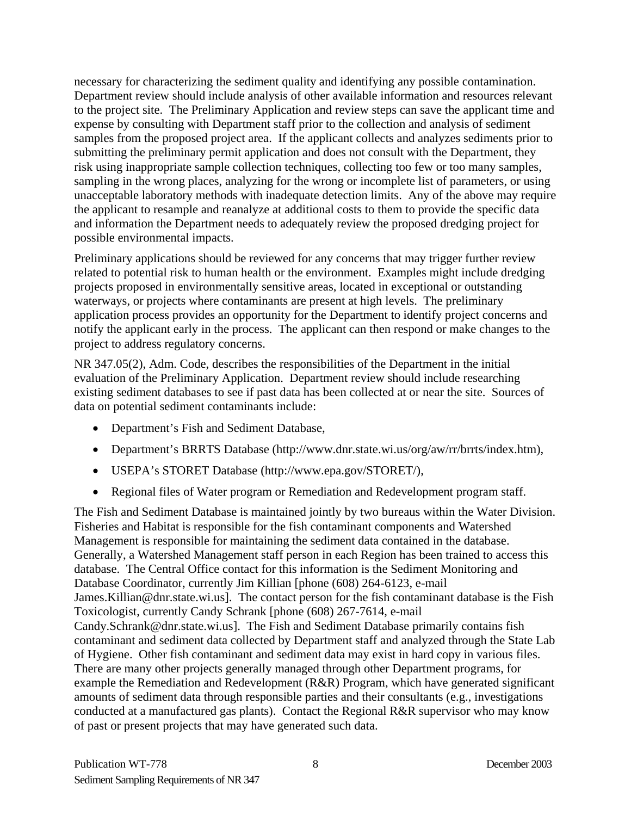necessary for characterizing the sediment quality and identifying any possible contamination. Department review should include analysis of other available information and resources relevant to the project site. The Preliminary Application and review steps can save the applicant time and expense by consulting with Department staff prior to the collection and analysis of sediment samples from the proposed project area. If the applicant collects and analyzes sediments prior to submitting the preliminary permit application and does not consult with the Department, they risk using inappropriate sample collection techniques, collecting too few or too many samples, sampling in the wrong places, analyzing for the wrong or incomplete list of parameters, or using unacceptable laboratory methods with inadequate detection limits. Any of the above may require the applicant to resample and reanalyze at additional costs to them to provide the specific data and information the Department needs to adequately review the proposed dredging project for possible environmental impacts.

Preliminary applications should be reviewed for any concerns that may trigger further review related to potential risk to human health or the environment. Examples might include dredging projects proposed in environmentally sensitive areas, located in exceptional or outstanding waterways, or projects where contaminants are present at high levels. The preliminary application process provides an opportunity for the Department to identify project concerns and notify the applicant early in the process. The applicant can then respond or make changes to the project to address regulatory concerns.

NR 347.05(2), Adm. Code, describes the responsibilities of the Department in the initial evaluation of the Preliminary Application. Department review should include researching existing sediment databases to see if past data has been collected at or near the site. Sources of data on potential sediment contaminants include:

- Department's Fish and Sediment Database,
- Department's BRRTS Database (http://www.dnr.state.wi.us/org/aw/rr/brrts/index.htm),
- USEPA's STORET Database (http://www.epa.gov/STORET/),
- Regional files of Water program or Remediation and Redevelopment program staff.

The Fish and Sediment Database is maintained jointly by two bureaus within the Water Division. Fisheries and Habitat is responsible for the fish contaminant components and Watershed Management is responsible for maintaining the sediment data contained in the database. Generally, a Watershed Management staff person in each Region has been trained to access this database. The Central Office contact for this information is the Sediment Monitoring and Database Coordinator, currently Jim Killian [phone (608) 264-6123, e-mail James.Killian@dnr.state.wi.us]. The contact person for the fish contaminant database is the Fish Toxicologist, currently Candy Schrank [phone (608) 267-7614, e-mail Candy.Schrank@dnr.state.wi.us]. The Fish and Sediment Database primarily contains fish contaminant and sediment data collected by Department staff and analyzed through the State Lab of Hygiene. Other fish contaminant and sediment data may exist in hard copy in various files. There are many other projects generally managed through other Department programs, for example the Remediation and Redevelopment (R&R) Program, which have generated significant amounts of sediment data through responsible parties and their consultants (e.g., investigations conducted at a manufactured gas plants). Contact the Regional R&R supervisor who may know of past or present projects that may have generated such data.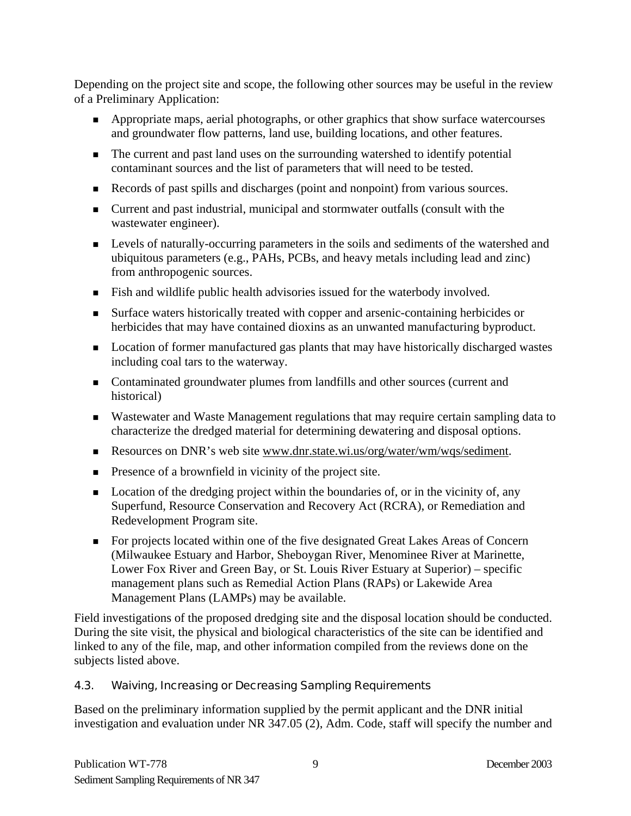<span id="page-11-0"></span>Depending on the project site and scope, the following other sources may be useful in the review of a Preliminary Application:

- **Appropriate maps, aerial photographs, or other graphics that show surface watercourses** and groundwater flow patterns, land use, building locations, and other features.
- The current and past land uses on the surrounding watershed to identify potential contaminant sources and the list of parameters that will need to be tested.
- Records of past spills and discharges (point and nonpoint) from various sources.
- **Current and past industrial, municipal and stormwater outfalls (consult with the** wastewater engineer).
- **Levels of naturally-occurring parameters in the soils and sediments of the watershed and** ubiquitous parameters (e.g., PAHs, PCBs, and heavy metals including lead and zinc) from anthropogenic sources.
- Fish and wildlife public health advisories issued for the waterbody involved.
- Surface waters historically treated with copper and arsenic-containing herbicides or herbicides that may have contained dioxins as an unwanted manufacturing byproduct.
- **Location of former manufactured gas plants that may have historically discharged wastes** including coal tars to the waterway.
- Contaminated groundwater plumes from landfills and other sources (current and historical)
- Wastewater and Waste Management regulations that may require certain sampling data to characterize the dredged material for determining dewatering and disposal options.
- Resources on DNR's web site www.dnr.state.wi.us/org/water/wm/wqs/sediment.
- **Presence of a brownfield in vicinity of the project site.**
- $\blacksquare$  Location of the dredging project within the boundaries of, or in the vicinity of, any Superfund, Resource Conservation and Recovery Act (RCRA), or Remediation and Redevelopment Program site.
- For projects located within one of the five designated Great Lakes Areas of Concern (Milwaukee Estuary and Harbor, Sheboygan River, Menominee River at Marinette, Lower Fox River and Green Bay, or St. Louis River Estuary at Superior) – specific management plans such as Remedial Action Plans (RAPs) or Lakewide Area Management Plans (LAMPs) may be available.

Field investigations of the proposed dredging site and the disposal location should be conducted. During the site visit, the physical and biological characteristics of the site can be identified and linked to any of the file, map, and other information compiled from the reviews done on the subjects listed above.

#### 4.3. Waiving, Increasing or Decreasing Sampling Requirements

Based on the preliminary information supplied by the permit applicant and the DNR initial investigation and evaluation under NR 347.05 (2), Adm. Code, staff will specify the number and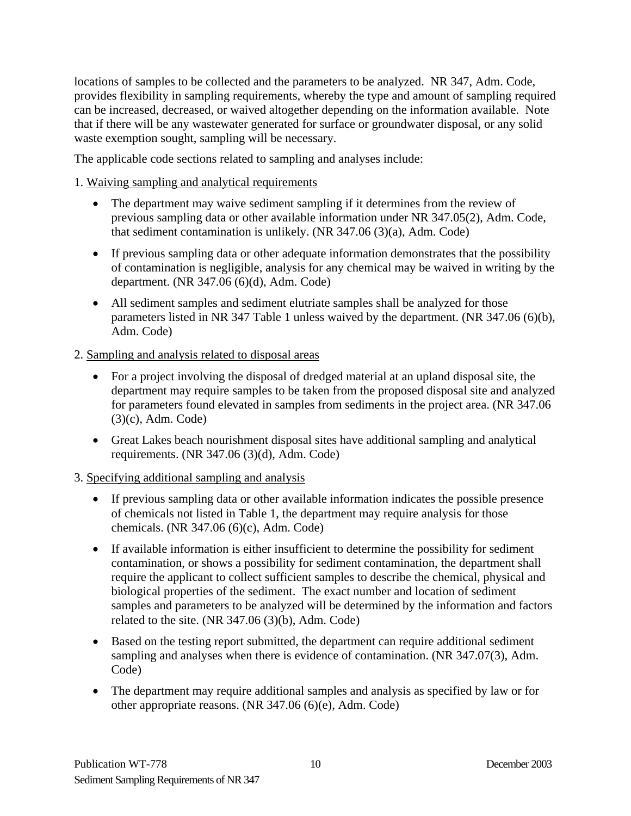locations of samples to be collected and the parameters to be analyzed. NR 347, Adm. Code, provides flexibility in sampling requirements, whereby the type and amount of sampling required can be increased, decreased, or waived altogether depending on the information available. Note that if there will be any wastewater generated for surface or groundwater disposal, or any solid waste exemption sought, sampling will be necessary.

The applicable code sections related to sampling and analyses include:

## 1. Waiving sampling and analytical requirements

- The department may waive sediment sampling if it determines from the review of previous sampling data or other available information under NR 347.05(2), Adm. Code, that sediment contamination is unlikely. (NR 347.06 (3)(a), Adm. Code)
- If previous sampling data or other adequate information demonstrates that the possibility of contamination is negligible, analysis for any chemical may be waived in writing by the department. (NR 347.06 (6)(d), Adm. Code)
- All sediment samples and sediment elutriate samples shall be analyzed for those parameters listed in NR 347 Table 1 unless waived by the department. (NR 347.06 (6)(b), Adm. Code)

## 2. Sampling and analysis related to disposal areas

- For a project involving the disposal of dredged material at an upland disposal site, the department may require samples to be taken from the proposed disposal site and analyzed for parameters found elevated in samples from sediments in the project area. (NR 347.06 (3)(c), Adm. Code)
- Great Lakes beach nourishment disposal sites have additional sampling and analytical requirements. (NR 347.06 (3)(d), Adm. Code)

## 3. Specifying additional sampling and analysis

- If previous sampling data or other available information indicates the possible presence of chemicals not listed in Table 1, the department may require analysis for those chemicals. (NR 347.06 (6)(c), Adm. Code)
- If available information is either insufficient to determine the possibility for sediment contamination, or shows a possibility for sediment contamination, the department shall require the applicant to collect sufficient samples to describe the chemical, physical and biological properties of the sediment. The exact number and location of sediment samples and parameters to be analyzed will be determined by the information and factors related to the site. (NR 347.06 (3)(b), Adm. Code)
- Based on the testing report submitted, the department can require additional sediment sampling and analyses when there is evidence of contamination. (NR 347.07(3), Adm. Code)
- The department may require additional samples and analysis as specified by law or for other appropriate reasons. (NR 347.06 (6)(e), Adm. Code)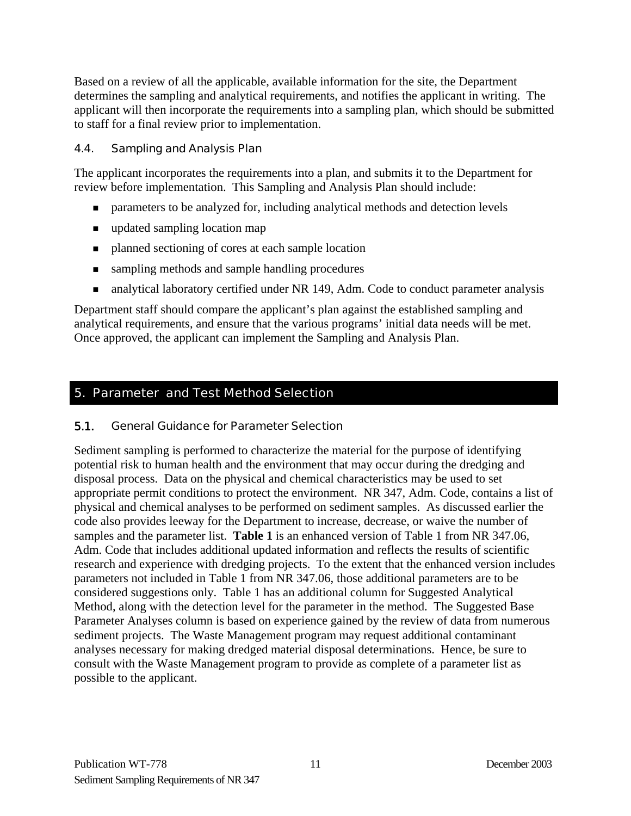<span id="page-13-0"></span>Based on a review of all the applicable, available information for the site, the Department determines the sampling and analytical requirements, and notifies the applicant in writing. The applicant will then incorporate the requirements into a sampling plan, which should be submitted to staff for a final review prior to implementation.

## 4.4. Sampling and Analysis Plan

The applicant incorporates the requirements into a plan, and submits it to the Department for review before implementation. This Sampling and Analysis Plan should include:

- **Example 1** parameters to be analyzed for, including analytical methods and detection levels
- updated sampling location map
- **Permission** planned sectioning of cores at each sample location
- sampling methods and sample handling procedures
- analytical laboratory certified under NR 149, Adm. Code to conduct parameter analysis

Department staff should compare the applicant's plan against the established sampling and analytical requirements, and ensure that the various programs' initial data needs will be met. Once approved, the applicant can implement the Sampling and Analysis Plan.

## 5. Parameter and Test Method Selection

#### 5.1. General Guidance for Parameter Selection

Sediment sampling is performed to characterize the material for the purpose of identifying potential risk to human health and the environment that may occur during the dredging and disposal process. Data on the physical and chemical characteristics may be used to set appropriate permit conditions to protect the environment. NR 347, Adm. Code, contains a list of physical and chemical analyses to be performed on sediment samples. As discussed earlier the code also provides leeway for the Department to increase, decrease, or waive the number of samples and the parameter list. **Table 1** is an enhanced version of Table 1 from NR 347.06, Adm. Code that includes additional updated information and reflects the results of scientific research and experience with dredging projects. To the extent that the enhanced version includes parameters not included in Table 1 from NR 347.06, those additional parameters are to be considered suggestions only. Table 1 has an additional column for Suggested Analytical Method, along with the detection level for the parameter in the method. The Suggested Base Parameter Analyses column is based on experience gained by the review of data from numerous sediment projects. The Waste Management program may request additional contaminant analyses necessary for making dredged material disposal determinations. Hence, be sure to consult with the Waste Management program to provide as complete of a parameter list as possible to the applicant.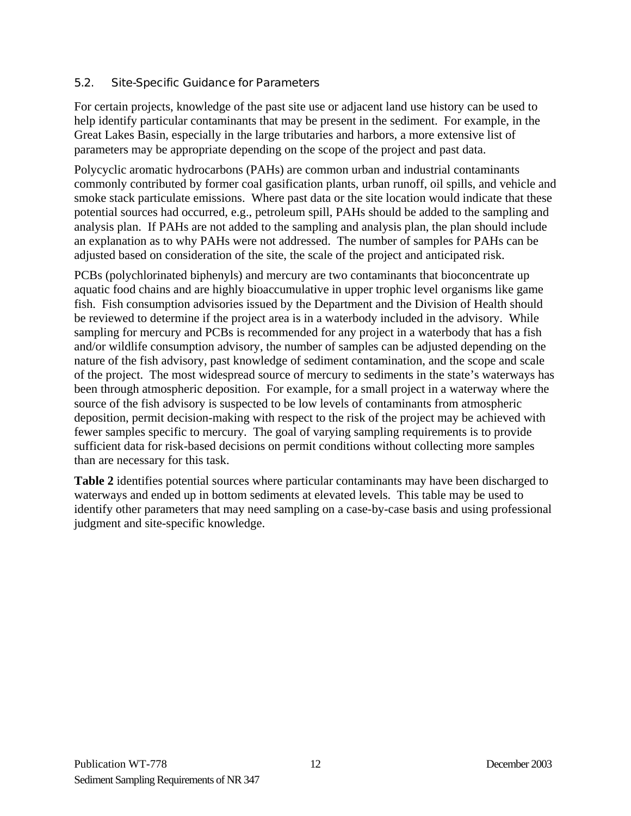## <span id="page-14-0"></span>5.2. Site-Specific Guidance for Parameters

For certain projects, knowledge of the past site use or adjacent land use history can be used to help identify particular contaminants that may be present in the sediment. For example, in the Great Lakes Basin, especially in the large tributaries and harbors, a more extensive list of parameters may be appropriate depending on the scope of the project and past data.

Polycyclic aromatic hydrocarbons (PAHs) are common urban and industrial contaminants commonly contributed by former coal gasification plants, urban runoff, oil spills, and vehicle and smoke stack particulate emissions. Where past data or the site location would indicate that these potential sources had occurred, e.g., petroleum spill, PAHs should be added to the sampling and analysis plan. If PAHs are not added to the sampling and analysis plan, the plan should include an explanation as to why PAHs were not addressed. The number of samples for PAHs can be adjusted based on consideration of the site, the scale of the project and anticipated risk.

PCBs (polychlorinated biphenyls) and mercury are two contaminants that bioconcentrate up aquatic food chains and are highly bioaccumulative in upper trophic level organisms like game fish. Fish consumption advisories issued by the Department and the Division of Health should be reviewed to determine if the project area is in a waterbody included in the advisory. While sampling for mercury and PCBs is recommended for any project in a waterbody that has a fish and/or wildlife consumption advisory, the number of samples can be adjusted depending on the nature of the fish advisory, past knowledge of sediment contamination, and the scope and scale of the project. The most widespread source of mercury to sediments in the state's waterways has been through atmospheric deposition. For example, for a small project in a waterway where the source of the fish advisory is suspected to be low levels of contaminants from atmospheric deposition, permit decision-making with respect to the risk of the project may be achieved with fewer samples specific to mercury. The goal of varying sampling requirements is to provide sufficient data for risk-based decisions on permit conditions without collecting more samples than are necessary for this task.

**Table 2** identifies potential sources where particular contaminants may have been discharged to waterways and ended up in bottom sediments at elevated levels. This table may be used to identify other parameters that may need sampling on a case-by-case basis and using professional judgment and site-specific knowledge.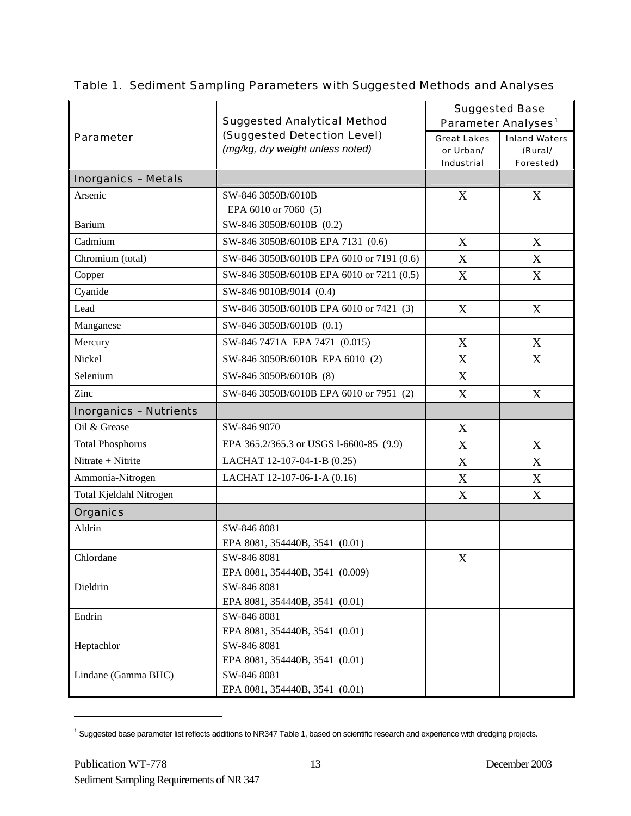|                               | <b>Suggested Analytical Method</b>                              | <b>Suggested Base</b><br>Parameter Analyses <sup>1</sup> |                                              |  |  |  |  |  |  |
|-------------------------------|-----------------------------------------------------------------|----------------------------------------------------------|----------------------------------------------|--|--|--|--|--|--|
| <b>Parameter</b>              | (Suggested Detection Level)<br>(mg/kg, dry weight unless noted) | <b>Great Lakes</b><br>or Urban/<br><b>Industrial</b>     | <b>Inland Waters</b><br>(Rural/<br>Forested) |  |  |  |  |  |  |
| <b>Inorganics - Metals</b>    |                                                                 |                                                          |                                              |  |  |  |  |  |  |
| Arsenic                       | SW-846 3050B/6010B                                              | X                                                        | X                                            |  |  |  |  |  |  |
|                               | EPA 6010 or 7060 (5)                                            |                                                          |                                              |  |  |  |  |  |  |
| <b>Barium</b>                 | SW-846 3050B/6010B (0.2)                                        |                                                          |                                              |  |  |  |  |  |  |
| Cadmium                       | SW-846 3050B/6010B EPA 7131 (0.6)                               | X                                                        | X                                            |  |  |  |  |  |  |
| Chromium (total)              | SW-846 3050B/6010B EPA 6010 or 7191 (0.6)                       | X                                                        | X                                            |  |  |  |  |  |  |
| Copper                        | SW-846 3050B/6010B EPA 6010 or 7211 (0.5)                       | X                                                        | X                                            |  |  |  |  |  |  |
| Cyanide                       | SW-846 9010B/9014 (0.4)                                         |                                                          |                                              |  |  |  |  |  |  |
| Lead                          | SW-846 3050B/6010B EPA 6010 or 7421 (3)                         | X                                                        | X                                            |  |  |  |  |  |  |
| Manganese                     | SW-846 3050B/6010B (0.1)                                        |                                                          |                                              |  |  |  |  |  |  |
| Mercury                       | SW-846 7471A EPA 7471 (0.015)                                   | X                                                        | X                                            |  |  |  |  |  |  |
| Nickel                        | SW-846 3050B/6010B EPA 6010 (2)                                 | X                                                        | X                                            |  |  |  |  |  |  |
| Selenium                      | SW-846 3050B/6010B (8)                                          | X                                                        |                                              |  |  |  |  |  |  |
| Zinc                          | SW-846 3050B/6010B EPA 6010 or 7951 (2)                         | X                                                        | X                                            |  |  |  |  |  |  |
| <b>Inorganics - Nutrients</b> |                                                                 |                                                          |                                              |  |  |  |  |  |  |
| Oil & Grease                  | SW-846 9070                                                     | X                                                        |                                              |  |  |  |  |  |  |
| <b>Total Phosphorus</b>       | EPA 365.2/365.3 or USGS I-6600-85 (9.9)                         | X                                                        | X                                            |  |  |  |  |  |  |
| Nitrate + Nitrite             | LACHAT 12-107-04-1-B (0.25)                                     | X                                                        | X                                            |  |  |  |  |  |  |
| Ammonia-Nitrogen              | LACHAT 12-107-06-1-A (0.16)                                     | X                                                        | X                                            |  |  |  |  |  |  |
| Total Kjeldahl Nitrogen       |                                                                 | X                                                        | X                                            |  |  |  |  |  |  |
| <b>Organics</b>               |                                                                 |                                                          |                                              |  |  |  |  |  |  |
| Aldrin                        | SW-846 8081                                                     |                                                          |                                              |  |  |  |  |  |  |
|                               | EPA 8081, 354440B, 3541 (0.01)                                  |                                                          |                                              |  |  |  |  |  |  |
| Chlordane                     | SW-846 8081                                                     | $\boldsymbol{\mathrm{X}}$                                |                                              |  |  |  |  |  |  |
|                               | EPA 8081, 354440B, 3541 (0.009)                                 |                                                          |                                              |  |  |  |  |  |  |
| Dieldrin                      | SW-846 8081                                                     |                                                          |                                              |  |  |  |  |  |  |
|                               | EPA 8081, 354440B, 3541 (0.01)                                  |                                                          |                                              |  |  |  |  |  |  |
| Endrin                        | SW-846 8081                                                     |                                                          |                                              |  |  |  |  |  |  |
|                               | EPA 8081, 354440B, 3541 (0.01)                                  |                                                          |                                              |  |  |  |  |  |  |
| Heptachlor                    | SW-846 8081<br>EPA 8081, 354440B, 3541 (0.01)                   |                                                          |                                              |  |  |  |  |  |  |
| Lindane (Gamma BHC)           | SW-846 8081                                                     |                                                          |                                              |  |  |  |  |  |  |
|                               | EPA 8081, 354440B, 3541 (0.01)                                  |                                                          |                                              |  |  |  |  |  |  |

## Table 1. Sediment Sampling Parameters with Suggested Methods and Analyses

 $\overline{a}$ 

<span id="page-15-0"></span><sup>&</sup>lt;sup>1</sup> Suggested base parameter list reflects additions to NR347 Table 1, based on scientific research and experience with dredging projects.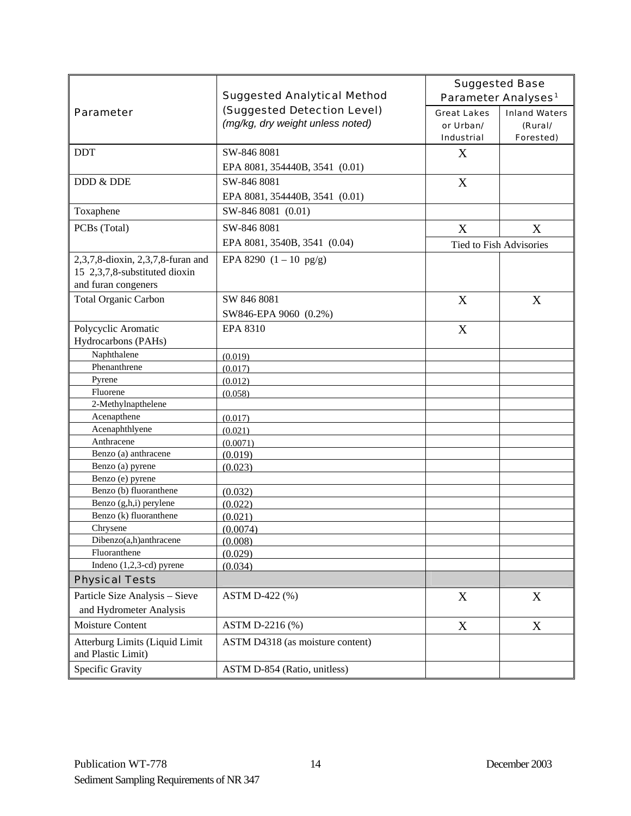|                                                      |                                                                 |                                                      | <b>Suggested Base</b>                        |
|------------------------------------------------------|-----------------------------------------------------------------|------------------------------------------------------|----------------------------------------------|
|                                                      | <b>Suggested Analytical Method</b>                              | Parameter Analyses <sup>1</sup>                      |                                              |
| <b>Parameter</b>                                     | (Suggested Detection Level)<br>(mg/kg, dry weight unless noted) | <b>Great Lakes</b><br>or Urban/<br><b>Industrial</b> | <b>Inland Waters</b><br>(Rural/<br>Forested) |
| <b>DDT</b>                                           | SW-846 8081                                                     | X                                                    |                                              |
|                                                      | EPA 8081, 354440B, 3541 (0.01)                                  |                                                      |                                              |
| DDD & DDE                                            | SW-846 8081                                                     | X                                                    |                                              |
|                                                      | EPA 8081, 354440B, 3541 (0.01)                                  |                                                      |                                              |
| Toxaphene                                            | SW-846 8081 (0.01)                                              |                                                      |                                              |
| PCBs (Total)                                         | SW-846 8081                                                     | X                                                    | X                                            |
|                                                      | EPA 8081, 3540B, 3541 (0.04)                                    | Tied to Fish Advisories                              |                                              |
| 2,3,7,8-dioxin, 2,3,7,8-furan and                    | EPA 8290 $(1 - 10 \text{ pg/g})$                                |                                                      |                                              |
| 15 2,3,7,8-substituted dioxin                        |                                                                 |                                                      |                                              |
| and furan congeners                                  |                                                                 |                                                      |                                              |
| <b>Total Organic Carbon</b>                          | SW 846 8081                                                     | X                                                    | X                                            |
|                                                      | SW846-EPA 9060 (0.2%)                                           |                                                      |                                              |
| Polycyclic Aromatic<br>Hydrocarbons (PAHs)           | EPA 8310                                                        | X                                                    |                                              |
| Naphthalene                                          | (0.019)                                                         |                                                      |                                              |
| Phenanthrene                                         | (0.017)                                                         |                                                      |                                              |
| Pyrene                                               | (0.012)                                                         |                                                      |                                              |
| Fluorene                                             | (0.058)                                                         |                                                      |                                              |
| 2-Methylnapthelene                                   |                                                                 |                                                      |                                              |
| Acenapthene                                          | (0.017)                                                         |                                                      |                                              |
| Acenaphthlyene                                       | (0.021)                                                         |                                                      |                                              |
| Anthracene                                           | (0.0071)                                                        |                                                      |                                              |
| Benzo (a) anthracene<br>Benzo (a) pyrene             | (0.019)                                                         |                                                      |                                              |
| Benzo (e) pyrene                                     | (0.023)                                                         |                                                      |                                              |
| Benzo (b) fluoranthene                               | (0.032)                                                         |                                                      |                                              |
| Benzo (g,h,i) perylene                               | (0.022)                                                         |                                                      |                                              |
| Benzo (k) fluoranthene                               | (0.021)                                                         |                                                      |                                              |
| Chrysene                                             | (0.0074)                                                        |                                                      |                                              |
| Dibenzo(a,h)anthracene                               | (0.008)                                                         |                                                      |                                              |
| Fluoranthene                                         | (0.029)                                                         |                                                      |                                              |
| Indeno (1,2,3-cd) pyrene                             | (0.034)                                                         |                                                      |                                              |
| <b>Physical Tests</b>                                |                                                                 |                                                      |                                              |
| Particle Size Analysis - Sieve                       | ASTM D-422 (%)                                                  | X                                                    | X                                            |
| and Hydrometer Analysis                              |                                                                 |                                                      |                                              |
| Moisture Content                                     | ASTM D-2216 (%)                                                 | X                                                    | X                                            |
| Atterburg Limits (Liquid Limit<br>and Plastic Limit) | ASTM D4318 (as moisture content)                                |                                                      |                                              |
| Specific Gravity                                     | ASTM D-854 (Ratio, unitless)                                    |                                                      |                                              |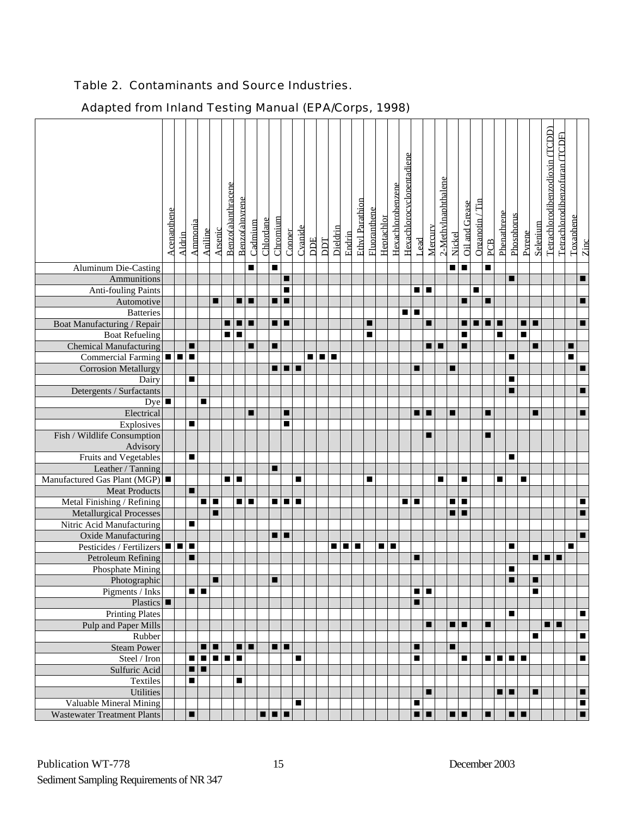## Table 2. Contaminants and Source Industries.

|                                                   | Acenapthene | Aldrin | Ammonia        | Aniline        | <b>Arsenic</b> | Benzo(a)anthracene | Benzo(a)pyrene | Cadmium | Chlordane | Chromium       | Copper         | Cvanide        | <b>DDE</b> | DDT   | Dieldrin | Endrin | Ethyl Parathion | Fluoranthene | Heptachlor | Hexachlorobenzene | Hexachlorocyclopentadiene | Lead           | Mercury | 2-Methylnaphthalene | Nickel         | Oil and Grease | Organotin / Tin | PCB            | Phenathrene    | Phosphorus | <b>Pyrene</b> | Selenium | Tetrachlorodibenzodioxin (TCDD) | Tetrachlorodibenzofuran (TCDF) | Toxaphene | Zinc                     |
|---------------------------------------------------|-------------|--------|----------------|----------------|----------------|--------------------|----------------|---------|-----------|----------------|----------------|----------------|------------|-------|----------|--------|-----------------|--------------|------------|-------------------|---------------------------|----------------|---------|---------------------|----------------|----------------|-----------------|----------------|----------------|------------|---------------|----------|---------------------------------|--------------------------------|-----------|--------------------------|
| <b>Aluminum Die-Casting</b>                       |             |        |                |                |                |                    |                | п       |           | $\blacksquare$ |                |                |            |       |          |        |                 |              |            |                   |                           |                |         |                     | п              | $\blacksquare$ |                 | $\blacksquare$ |                |            |               |          |                                 |                                |           |                          |
| Ammunitions                                       |             |        |                |                |                |                    |                |         |           |                | ■<br>п         |                |            |       |          |        |                 |              |            |                   |                           |                |         |                     |                |                |                 |                |                | п          |               |          |                                 |                                |           | п                        |
| <b>Anti-fouling Paints</b><br>Automotive          |             |        |                |                | ■              |                    |                | E       |           | $\blacksquare$ | п              |                |            |       |          |        |                 |              |            |                   |                           | ■■■            |         |                     |                |                | ■               |                |                |            |               |          |                                 |                                |           | г                        |
| <b>Batteries</b>                                  |             |        |                |                |                |                    |                |         |           |                |                |                |            |       |          |        |                 |              |            |                   | п                         | п              |         |                     |                |                |                 |                |                |            |               |          |                                 |                                |           |                          |
| Boat Manufacturing / Repair                       |             |        |                |                |                | ∎                  | I ■ I ■        |         |           |                | $\blacksquare$ |                |            |       |          |        |                 | ■            |            |                   |                           |                | ■       |                     |                | п              |                 | $\blacksquare$ |                |            | п             | п        |                                 |                                |           | п                        |
| <b>Boat Refueling</b>                             |             |        |                |                |                | 8 I S              |                |         |           |                |                |                |            |       |          |        |                 | ■            |            |                   |                           |                |         |                     |                | п              |                 |                | $\blacksquare$ |            | п             |          |                                 |                                |           |                          |
| <b>Chemical Manufacturing</b>                     |             |        | ■              |                |                |                    |                |         |           | п              |                |                |            |       |          |        |                 |              |            |                   |                           |                |         | п                   |                |                |                 |                |                |            |               | Е        |                                 |                                | ■         |                          |
| Commercial Farming $\blacksquare$                 |             |        | п              |                |                |                    |                |         |           |                |                |                |            | 8 I B | п        |        |                 |              |            |                   |                           |                |         |                     |                |                |                 |                |                | П          |               |          |                                 |                                | п         |                          |
| <b>Corrosion Metallurgy</b>                       |             |        |                |                |                |                    |                |         |           | ∎              |                | l <b>m</b>     |            |       |          |        |                 |              |            |                   |                           | ■              |         |                     | п              |                |                 |                |                |            |               |          |                                 |                                |           | г                        |
| Dairy                                             |             |        | $\blacksquare$ |                |                |                    |                |         |           |                |                |                |            |       |          |        |                 |              |            |                   |                           |                |         |                     |                |                |                 |                |                | п          |               |          |                                 |                                |           |                          |
| Detergents / Surfactants                          |             |        |                |                |                |                    |                |         |           |                |                |                |            |       |          |        |                 |              |            |                   |                           |                |         |                     |                |                |                 |                |                | ■          |               |          |                                 |                                |           | п                        |
| Dye                                               |             |        |                | п              |                |                    |                |         |           |                |                |                |            |       |          |        |                 |              |            |                   |                           |                |         |                     |                |                |                 |                |                |            |               |          |                                 |                                |           |                          |
| Electrical                                        |             |        |                |                |                |                    |                | ■       |           |                | п              |                |            |       |          |        |                 |              |            |                   |                           | ■■■            |         |                     | п              |                |                 | п              |                |            |               | ■        |                                 |                                |           | п                        |
| Explosives                                        |             |        | п              |                |                |                    |                |         |           |                | E              |                |            |       |          |        |                 |              |            |                   |                           |                |         |                     |                |                |                 |                |                |            |               |          |                                 |                                |           |                          |
| Fish / Wildlife Consumption                       |             |        |                |                |                |                    |                |         |           |                |                |                |            |       |          |        |                 |              |            |                   |                           |                | ■       |                     |                |                |                 | п              |                |            |               |          |                                 |                                |           |                          |
| Advisory                                          |             |        |                |                |                |                    |                |         |           |                |                |                |            |       |          |        |                 |              |            |                   |                           |                |         |                     |                |                |                 |                |                |            |               |          |                                 |                                |           |                          |
| <b>Fruits and Vegetables</b><br>Leather / Tanning |             |        | ■              |                |                |                    |                |         |           | п              |                |                |            |       |          |        |                 |              |            |                   |                           |                |         |                     |                |                |                 |                |                | ■          |               |          |                                 |                                |           |                          |
| Manufactured Gas Plant (MGP)                      |             |        |                |                |                | $\blacksquare$     | п              |         |           |                |                | п              |            |       |          |        |                 | ■            |            |                   |                           |                |         | п                   |                | ■              |                 |                | $\blacksquare$ |            | ■             |          |                                 |                                |           |                          |
| <b>Meat Products</b>                              |             |        | $\blacksquare$ |                |                |                    |                |         |           |                |                |                |            |       |          |        |                 |              |            |                   |                           |                |         |                     |                |                |                 |                |                |            |               |          |                                 |                                |           |                          |
| Metal Finishing / Refining                        |             |        |                | ■              | п              |                    | $\blacksquare$ | ┎       |           | ■              | n I n          |                |            |       |          |        |                 |              |            |                   | ■                         | п              |         |                     |                | п              |                 |                |                |            |               |          |                                 |                                |           | п                        |
| <b>Metallurgical Processes</b>                    |             |        |                |                | п              |                    |                |         |           |                |                |                |            |       |          |        |                 |              |            |                   |                           |                |         |                     |                | п              |                 |                |                |            |               |          |                                 |                                |           | $\blacksquare$           |
| Nitric Acid Manufacturing                         |             |        | п              |                |                |                    |                |         |           |                |                |                |            |       |          |        |                 |              |            |                   |                           |                |         |                     |                |                |                 |                |                |            |               |          |                                 |                                |           |                          |
| Oxide Manufacturing                               |             |        |                |                |                |                    |                |         |           |                | ∎∣∎            |                |            |       |          |        |                 |              |            |                   |                           |                |         |                     |                |                |                 |                |                |            |               |          |                                 |                                |           | п                        |
| Pesticides / Fertilizers                          |             | 8 8 8  |                |                |                |                    |                |         |           |                |                |                |            |       |          | Ε      | ■               |              | п          | п                 |                           |                |         |                     |                |                |                 |                |                | п          |               |          |                                 |                                | ■         |                          |
| Petroleum Refining                                |             |        | ■              |                |                |                    |                |         |           |                |                |                |            |       |          |        |                 |              |            |                   |                           | п              |         |                     |                |                |                 |                |                |            |               | ■        | $\blacksquare$                  |                                |           |                          |
| Phosphate Mining                                  |             |        |                |                |                |                    |                |         |           |                |                |                |            |       |          |        |                 |              |            |                   |                           |                |         |                     |                |                |                 |                |                | п          |               |          |                                 |                                |           |                          |
| Photographic                                      |             |        |                |                | ш              |                    |                |         |           | ■              |                |                |            |       |          |        |                 |              |            |                   |                           |                |         |                     |                |                |                 |                |                | ▬          |               | ш        |                                 |                                |           |                          |
| Pigments / Inks                                   |             |        | n I n          |                |                |                    |                |         |           |                |                |                |            |       |          |        |                 |              |            |                   |                           | $\blacksquare$ |         |                     |                |                |                 |                |                |            |               | ■        |                                 |                                |           |                          |
| Plastics $\blacksquare$<br><b>Printing Plates</b> |             |        |                |                |                |                    |                |         |           |                |                |                |            |       |          |        |                 |              |            |                   |                           | ■              |         |                     |                |                |                 |                |                |            |               |          |                                 |                                |           |                          |
| Pulp and Paper Mills                              |             |        |                |                |                |                    |                |         |           |                |                |                |            |       |          |        |                 |              |            |                   |                           |                | ■       |                     | $\blacksquare$ |                |                 | п              |                | п          |               |          | . .                             |                                |           | п                        |
| Rubber                                            |             |        |                |                |                |                    |                |         |           |                |                |                |            |       |          |        |                 |              |            |                   |                           |                |         |                     |                |                |                 |                |                |            |               | п        |                                 |                                |           | $\blacksquare$           |
| <b>Steam Power</b>                                |             |        |                | п              | п              |                    | $\blacksquare$ |         |           |                | a la           |                |            |       |          |        |                 |              |            |                   |                           | п              |         |                     | ■              |                |                 |                |                |            |               |          |                                 |                                |           |                          |
| Steel / Iron                                      |             |        |                | $\blacksquare$ |                | e de               |                |         |           |                |                | $\blacksquare$ |            |       |          |        |                 |              |            |                   |                           | ■              |         |                     |                | п              |                 |                |                | n Firin    |               |          |                                 |                                |           | $\blacksquare$           |
| Sulfuric Acid                                     |             |        |                | $\blacksquare$ |                |                    |                |         |           |                |                |                |            |       |          |        |                 |              |            |                   |                           |                |         |                     |                |                |                 |                |                |            |               |          |                                 |                                |           |                          |
| Textiles                                          |             |        | п              |                |                |                    | п              |         |           |                |                |                |            |       |          |        |                 |              |            |                   |                           |                |         |                     |                |                |                 |                |                |            |               |          |                                 |                                |           |                          |
| Utilities                                         |             |        |                |                |                |                    |                |         |           |                |                |                |            |       |          |        |                 |              |            |                   |                           |                |         |                     |                |                |                 |                | a ja           |            |               | п        |                                 |                                |           | п                        |
| Valuable Mineral Mining                           |             |        |                |                |                |                    |                |         |           |                |                | п              |            |       |          |        |                 |              |            |                   |                           | ■              |         |                     |                |                |                 |                |                |            |               |          |                                 |                                |           | п                        |
| <b>Wastewater Treatment Plants</b>                |             |        | п              |                |                |                    |                |         |           | 8   8   8      |                |                |            |       |          |        |                 |              |            |                   |                           | $\blacksquare$ |         |                     | $\blacksquare$ |                |                 | п              |                | ■∣■        |               |          |                                 |                                |           | $\overline{\phantom{a}}$ |

## Adapted from Inland Testing Manual (EPA/Corps, 1998)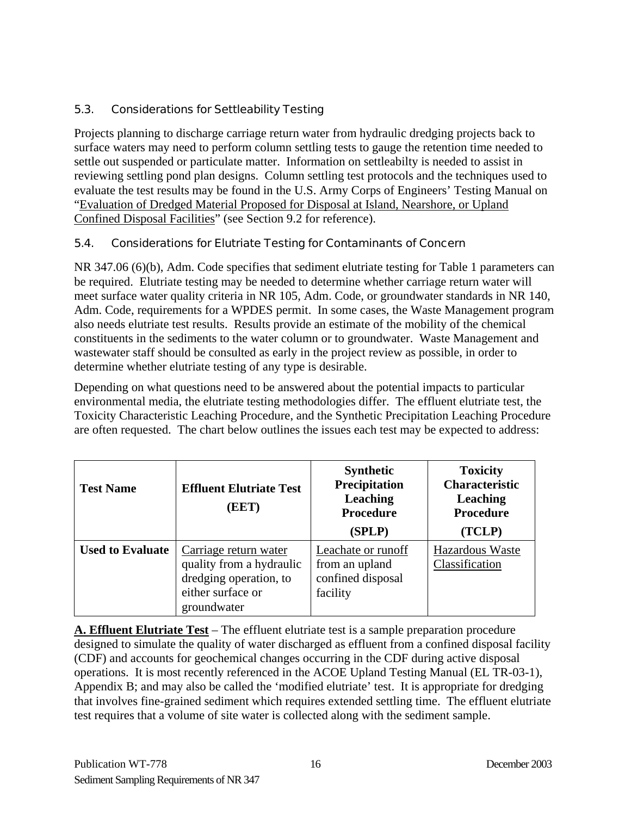## <span id="page-18-0"></span>5.3. Considerations for Settleability Testing

Projects planning to discharge carriage return water from hydraulic dredging projects back to surface waters may need to perform column settling tests to gauge the retention time needed to settle out suspended or particulate matter. Information on settleabilty is needed to assist in reviewing settling pond plan designs. Column settling test protocols and the techniques used to evaluate the test results may be found in the U.S. Army Corps of Engineers' Testing Manual on "Evaluation of Dredged Material Proposed for Disposal at Island, Nearshore, or Upland Confined Disposal Facilities" (see Section 9.2 for reference).

#### 5.4. Considerations for Elutriate Testing for Contaminants of Concern

NR 347.06 (6)(b), Adm. Code specifies that sediment elutriate testing for Table 1 parameters can be required. Elutriate testing may be needed to determine whether carriage return water will meet surface water quality criteria in NR 105, Adm. Code, or groundwater standards in NR 140, Adm. Code, requirements for a WPDES permit. In some cases, the Waste Management program also needs elutriate test results. Results provide an estimate of the mobility of the chemical constituents in the sediments to the water column or to groundwater. Waste Management and wastewater staff should be consulted as early in the project review as possible, in order to determine whether elutriate testing of any type is desirable.

Depending on what questions need to be answered about the potential impacts to particular environmental media, the elutriate testing methodologies differ. The effluent elutriate test, the Toxicity Characteristic Leaching Procedure, and the Synthetic Precipitation Leaching Procedure are often requested. The chart below outlines the issues each test may be expected to address:

| <b>Test Name</b>        | <b>Effluent Elutriate Test</b><br>(EET)                                                                         | <b>Synthetic</b><br>Precipitation<br><b>Leaching</b><br><b>Procedure</b><br>(SPLP) | <b>Toxicity</b><br><b>Characteristic</b><br>Leaching<br><b>Procedure</b><br>(TCLP) |
|-------------------------|-----------------------------------------------------------------------------------------------------------------|------------------------------------------------------------------------------------|------------------------------------------------------------------------------------|
| <b>Used to Evaluate</b> | Carriage return water<br>quality from a hydraulic<br>dredging operation, to<br>either surface or<br>groundwater | Leachate or runoff<br>from an upland<br>confined disposal<br>facility              | Hazardous Waste<br>Classification                                                  |

**A. Effluent Elutriate Test** – The effluent elutriate test is a sample preparation procedure designed to simulate the quality of water discharged as effluent from a confined disposal facility (CDF) and accounts for geochemical changes occurring in the CDF during active disposal operations. It is most recently referenced in the ACOE Upland Testing Manual (EL TR-03-1), Appendix B; and may also be called the 'modified elutriate' test. It is appropriate for dredging that involves fine-grained sediment which requires extended settling time. The effluent elutriate test requires that a volume of site water is collected along with the sediment sample.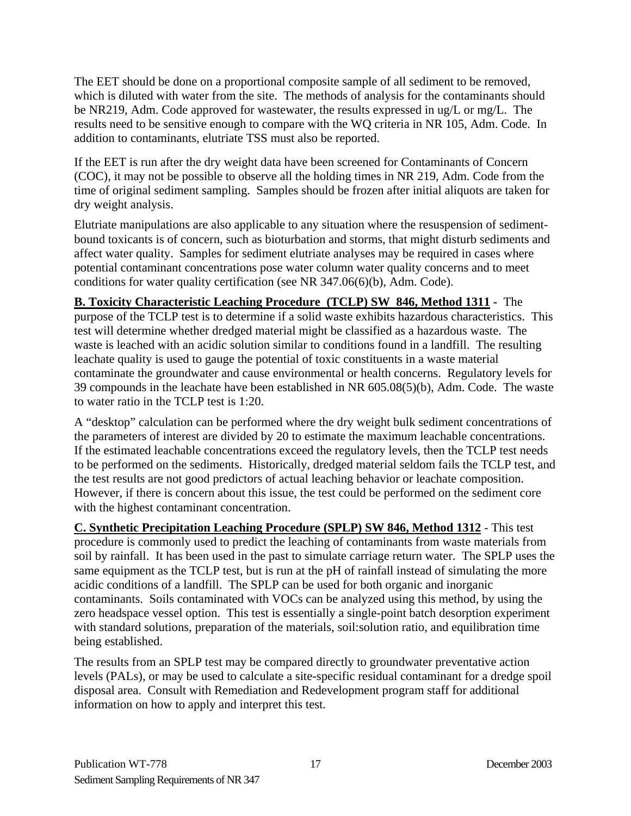The EET should be done on a proportional composite sample of all sediment to be removed, which is diluted with water from the site. The methods of analysis for the contaminants should be NR219, Adm. Code approved for wastewater, the results expressed in ug/L or mg/L. The results need to be sensitive enough to compare with the WQ criteria in NR 105, Adm. Code. In addition to contaminants, elutriate TSS must also be reported.

If the EET is run after the dry weight data have been screened for Contaminants of Concern (COC), it may not be possible to observe all the holding times in NR 219, Adm. Code from the time of original sediment sampling. Samples should be frozen after initial aliquots are taken for dry weight analysis.

Elutriate manipulations are also applicable to any situation where the resuspension of sedimentbound toxicants is of concern, such as bioturbation and storms, that might disturb sediments and affect water quality. Samples for sediment elutriate analyses may be required in cases where potential contaminant concentrations pose water column water quality concerns and to meet conditions for water quality certification (see NR 347.06(6)(b), Adm. Code).

**B. Toxicity Characteristic Leaching Procedure (TCLP) SW 846, Method 1311 -** The purpose of the TCLP test is to determine if a solid waste exhibits hazardous characteristics. This test will determine whether dredged material might be classified as a hazardous waste. The waste is leached with an acidic solution similar to conditions found in a landfill. The resulting leachate quality is used to gauge the potential of toxic constituents in a waste material contaminate the groundwater and cause environmental or health concerns. Regulatory levels for 39 compounds in the leachate have been established in NR 605.08(5)(b), Adm. Code. The waste to water ratio in the TCLP test is 1:20.

A "desktop" calculation can be performed where the dry weight bulk sediment concentrations of the parameters of interest are divided by 20 to estimate the maximum leachable concentrations. If the estimated leachable concentrations exceed the regulatory levels, then the TCLP test needs to be performed on the sediments. Historically, dredged material seldom fails the TCLP test, and the test results are not good predictors of actual leaching behavior or leachate composition. However, if there is concern about this issue, the test could be performed on the sediment core with the highest contaminant concentration.

**C. Synthetic Precipitation Leaching Procedure (SPLP) SW 846, Method 1312** - This test procedure is commonly used to predict the leaching of contaminants from waste materials from soil by rainfall. It has been used in the past to simulate carriage return water. The SPLP uses the same equipment as the TCLP test, but is run at the pH of rainfall instead of simulating the more acidic conditions of a landfill. The SPLP can be used for both organic and inorganic contaminants. Soils contaminated with VOCs can be analyzed using this method, by using the zero headspace vessel option. This test is essentially a single-point batch desorption experiment with standard solutions, preparation of the materials, soil:solution ratio, and equilibration time being established.

The results from an SPLP test may be compared directly to groundwater preventative action levels (PALs), or may be used to calculate a site-specific residual contaminant for a dredge spoil disposal area. Consult with Remediation and Redevelopment program staff for additional information on how to apply and interpret this test.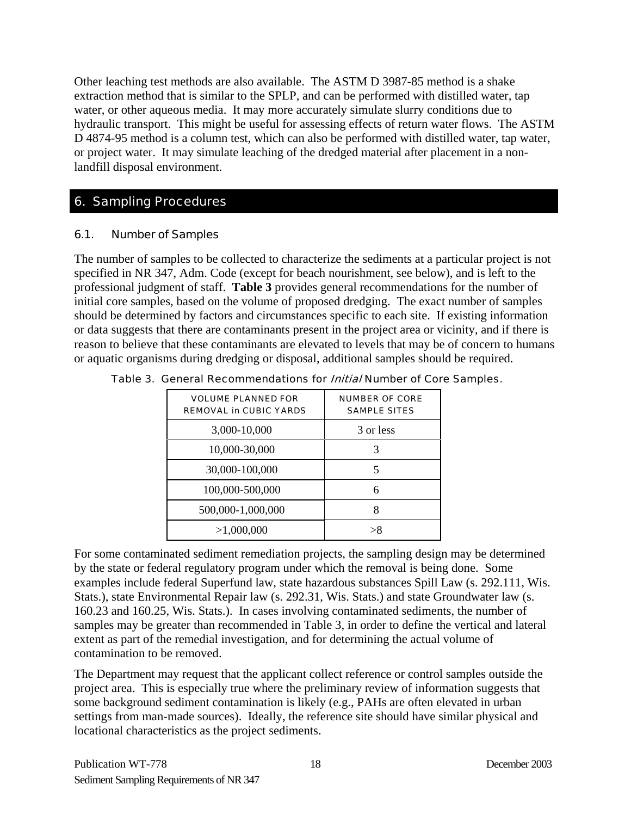<span id="page-20-0"></span>Other leaching test methods are also available. The ASTM D 3987-85 method is a shake extraction method that is similar to the SPLP, and can be performed with distilled water, tap water, or other aqueous media. It may more accurately simulate slurry conditions due to hydraulic transport. This might be useful for assessing effects of return water flows. The ASTM D 4874-95 method is a column test, which can also be performed with distilled water, tap water, or project water. It may simulate leaching of the dredged material after placement in a nonlandfill disposal environment.

## 6. Sampling Procedures

## 6.1. Number of Samples

The number of samples to be collected to characterize the sediments at a particular project is not specified in NR 347, Adm. Code (except for beach nourishment, see below), and is left to the professional judgment of staff. **Table 3** provides general recommendations for the number of initial core samples, based on the volume of proposed dredging. The exact number of samples should be determined by factors and circumstances specific to each site. If existing information or data suggests that there are contaminants present in the project area or vicinity, and if there is reason to believe that these contaminants are elevated to levels that may be of concern to humans or aquatic organisms during dredging or disposal, additional samples should be required.

| <b>VOLUME PLANNED FOR</b><br><b>REMOVAL in CUBIC YARDS</b> | <b>NUMBER OF CORE</b><br><b>SAMPLE SITES</b> |
|------------------------------------------------------------|----------------------------------------------|
| 3,000-10,000                                               | 3 or less                                    |
| 10,000-30,000                                              | 3                                            |
| 30,000-100,000                                             | 5                                            |
| 100,000-500,000                                            | 6                                            |
| 500,000-1,000,000                                          | 8                                            |
| >1,000,000                                                 | $\mathbf{R}$                                 |

Table 3. General Recommendations for *Initial* Number of Core Samples.

For some contaminated sediment remediation projects, the sampling design may be determined by the state or federal regulatory program under which the removal is being done. Some examples include federal Superfund law, state hazardous substances Spill Law (s. 292.111, Wis. Stats.), state Environmental Repair law (s. 292.31, Wis. Stats.) and state Groundwater law (s. 160.23 and 160.25, Wis. Stats.). In cases involving contaminated sediments, the number of samples may be greater than recommended in Table 3, in order to define the vertical and lateral extent as part of the remedial investigation, and for determining the actual volume of contamination to be removed.

The Department may request that the applicant collect reference or control samples outside the project area. This is especially true where the preliminary review of information suggests that some background sediment contamination is likely (e.g., PAHs are often elevated in urban settings from man-made sources). Ideally, the reference site should have similar physical and locational characteristics as the project sediments.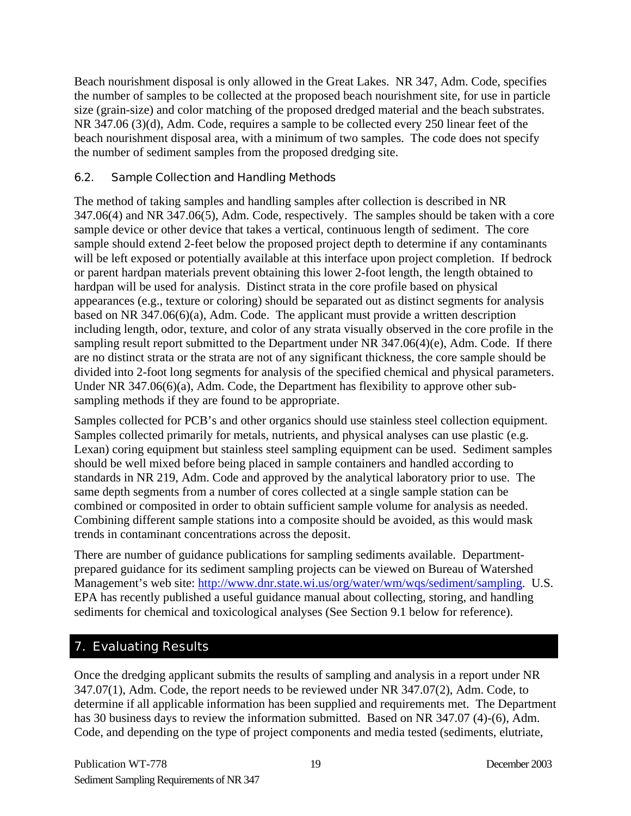<span id="page-21-0"></span>Beach nourishment disposal is only allowed in the Great Lakes. NR 347, Adm. Code, specifies the number of samples to be collected at the proposed beach nourishment site, for use in particle size (grain-size) and color matching of the proposed dredged material and the beach substrates. NR 347.06 (3)(d), Adm. Code, requires a sample to be collected every 250 linear feet of the beach nourishment disposal area, with a minimum of two samples. The code does not specify the number of sediment samples from the proposed dredging site.

#### 6.2. Sample Collection and Handling Methods

The method of taking samples and handling samples after collection is described in NR 347.06(4) and NR 347.06(5), Adm. Code, respectively. The samples should be taken with a core sample device or other device that takes a vertical, continuous length of sediment. The core sample should extend 2-feet below the proposed project depth to determine if any contaminants will be left exposed or potentially available at this interface upon project completion. If bedrock or parent hardpan materials prevent obtaining this lower 2-foot length, the length obtained to hardpan will be used for analysis. Distinct strata in the core profile based on physical appearances (e.g., texture or coloring) should be separated out as distinct segments for analysis based on NR 347.06(6)(a), Adm. Code. The applicant must provide a written description including length, odor, texture, and color of any strata visually observed in the core profile in the sampling result report submitted to the Department under NR 347.06(4)(e), Adm. Code. If there are no distinct strata or the strata are not of any significant thickness, the core sample should be divided into 2-foot long segments for analysis of the specified chemical and physical parameters. Under NR 347.06(6)(a), Adm. Code, the Department has flexibility to approve other subsampling methods if they are found to be appropriate.

Samples collected for PCB's and other organics should use stainless steel collection equipment. Samples collected primarily for metals, nutrients, and physical analyses can use plastic (e.g. Lexan) coring equipment but stainless steel sampling equipment can be used. Sediment samples should be well mixed before being placed in sample containers and handled according to standards in NR 219, Adm. Code and approved by the analytical laboratory prior to use. The same depth segments from a number of cores collected at a single sample station can be combined or composited in order to obtain sufficient sample volume for analysis as needed. Combining different sample stations into a composite should be avoided, as this would mask trends in contaminant concentrations across the deposit.

There are number of guidance publications for sampling sediments available. Departmentprepared guidance for its sediment sampling projects can be viewed on Bureau of Watershed Management's web site: [http://www.dnr.state.wi.us/org/water/wm/wqs/sediment/sampling.](http://www.dnr.state.wi.us/org/water/wm/wqs/sediment/sampling) U.S. EPA has recently published a useful guidance manual about collecting, storing, and handling sediments for chemical and toxicological analyses (See Section 9.1 below for reference).

## 7. Evaluating Results

Once the dredging applicant submits the results of sampling and analysis in a report under NR 347.07(1), Adm. Code, the report needs to be reviewed under NR 347.07(2), Adm. Code, to determine if all applicable information has been supplied and requirements met. The Department has 30 business days to review the information submitted. Based on NR 347.07 (4)-(6), Adm. Code, and depending on the type of project components and media tested (sediments, elutriate,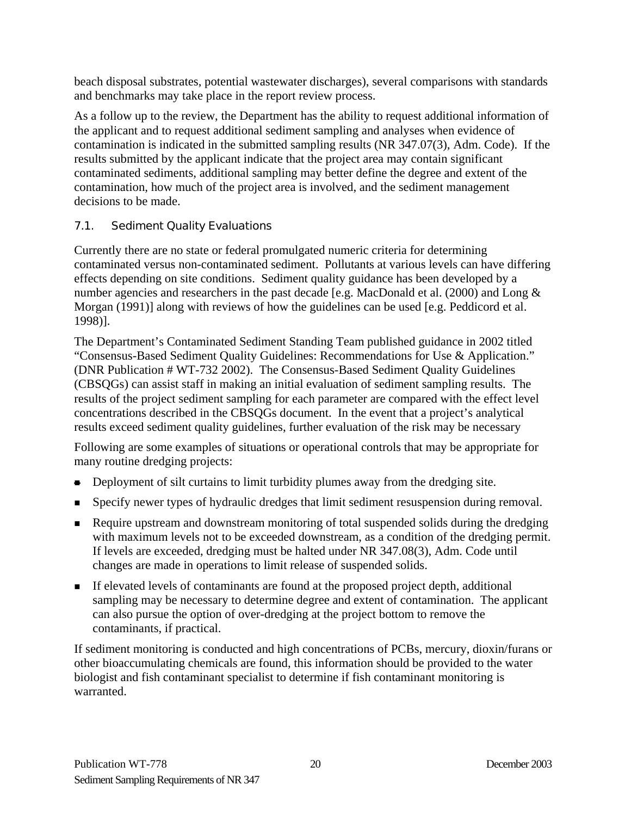<span id="page-22-0"></span>beach disposal substrates, potential wastewater discharges), several comparisons with standards and benchmarks may take place in the report review process.

As a follow up to the review, the Department has the ability to request additional information of the applicant and to request additional sediment sampling and analyses when evidence of contamination is indicated in the submitted sampling results (NR 347.07(3), Adm. Code). If the results submitted by the applicant indicate that the project area may contain significant contaminated sediments, additional sampling may better define the degree and extent of the contamination, how much of the project area is involved, and the sediment management decisions to be made.

## 7.1. Sediment Quality Evaluations

Currently there are no state or federal promulgated numeric criteria for determining contaminated versus non-contaminated sediment. Pollutants at various levels can have differing effects depending on site conditions. Sediment quality guidance has been developed by a number agencies and researchers in the past decade [e.g. MacDonald et al. (2000) and Long & Morgan (1991)] along with reviews of how the guidelines can be used [e.g. Peddicord et al. 1998)].

The Department's Contaminated Sediment Standing Team published guidance in 2002 titled "Consensus-Based Sediment Quality Guidelines: Recommendations for Use & Application." (DNR Publication # WT-732 2002). The Consensus-Based Sediment Quality Guidelines (CBSQGs) can assist staff in making an initial evaluation of sediment sampling results. The results of the project sediment sampling for each parameter are compared with the effect level concentrations described in the CBSQGs document. In the event that a project's analytical results exceed sediment quality guidelines, further evaluation of the risk may be necessary

Following are some examples of situations or operational controls that may be appropriate for many routine dredging projects:

- Deployment of silt curtains to limit turbidity plumes away from the dredging site.
- Specify newer types of hydraulic dredges that limit sediment resuspension during removal.
- Require upstream and downstream monitoring of total suspended solids during the dredging with maximum levels not to be exceeded downstream, as a condition of the dredging permit. If levels are exceeded, dredging must be halted under NR 347.08(3), Adm. Code until changes are made in operations to limit release of suspended solids.
- If elevated levels of contaminants are found at the proposed project depth, additional sampling may be necessary to determine degree and extent of contamination. The applicant can also pursue the option of over-dredging at the project bottom to remove the contaminants, if practical.

If sediment monitoring is conducted and high concentrations of PCBs, mercury, dioxin/furans or other bioaccumulating chemicals are found, this information should be provided to the water biologist and fish contaminant specialist to determine if fish contaminant monitoring is warranted.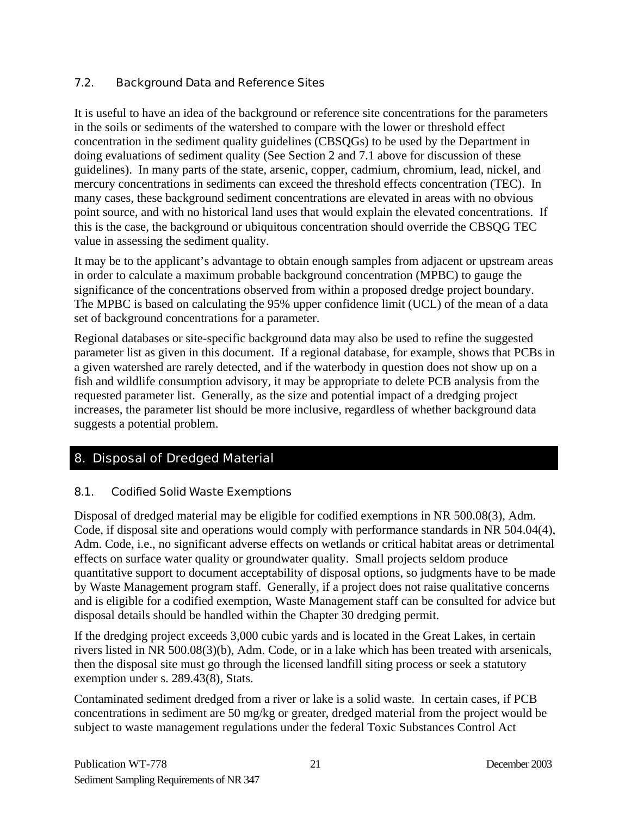## <span id="page-23-0"></span>7.2. Background Data and Reference Sites

It is useful to have an idea of the background or reference site concentrations for the parameters in the soils or sediments of the watershed to compare with the lower or threshold effect concentration in the sediment quality guidelines (CBSQGs) to be used by the Department in doing evaluations of sediment quality (See Section 2 and 7.1 above for discussion of these guidelines). In many parts of the state, arsenic, copper, cadmium, chromium, lead, nickel, and mercury concentrations in sediments can exceed the threshold effects concentration (TEC). In many cases, these background sediment concentrations are elevated in areas with no obvious point source, and with no historical land uses that would explain the elevated concentrations. If this is the case, the background or ubiquitous concentration should override the CBSQG TEC value in assessing the sediment quality.

It may be to the applicant's advantage to obtain enough samples from adjacent or upstream areas in order to calculate a maximum probable background concentration (MPBC) to gauge the significance of the concentrations observed from within a proposed dredge project boundary. The MPBC is based on calculating the 95% upper confidence limit (UCL) of the mean of a data set of background concentrations for a parameter.

Regional databases or site-specific background data may also be used to refine the suggested parameter list as given in this document. If a regional database, for example, shows that PCBs in a given watershed are rarely detected, and if the waterbody in question does not show up on a fish and wildlife consumption advisory, it may be appropriate to delete PCB analysis from the requested parameter list. Generally, as the size and potential impact of a dredging project increases, the parameter list should be more inclusive, regardless of whether background data suggests a potential problem.

## 8. Disposal of Dredged Material

#### 8.1. Codified Solid Waste Exemptions

Disposal of dredged material may be eligible for codified exemptions in NR 500.08(3), Adm. Code, if disposal site and operations would comply with performance standards in NR 504.04(4), Adm. Code, i.e., no significant adverse effects on wetlands or critical habitat areas or detrimental effects on surface water quality or groundwater quality. Small projects seldom produce quantitative support to document acceptability of disposal options, so judgments have to be made by Waste Management program staff. Generally, if a project does not raise qualitative concerns and is eligible for a codified exemption, Waste Management staff can be consulted for advice but disposal details should be handled within the Chapter 30 dredging permit.

If the dredging project exceeds 3,000 cubic yards and is located in the Great Lakes, in certain rivers listed in NR 500.08(3)(b), Adm. Code, or in a lake which has been treated with arsenicals, then the disposal site must go through the licensed landfill siting process or seek a statutory exemption under s. 289.43(8), Stats.

Contaminated sediment dredged from a river or lake is a solid waste. In certain cases, if PCB concentrations in sediment are 50 mg/kg or greater, dredged material from the project would be subject to waste management regulations under the federal Toxic Substances Control Act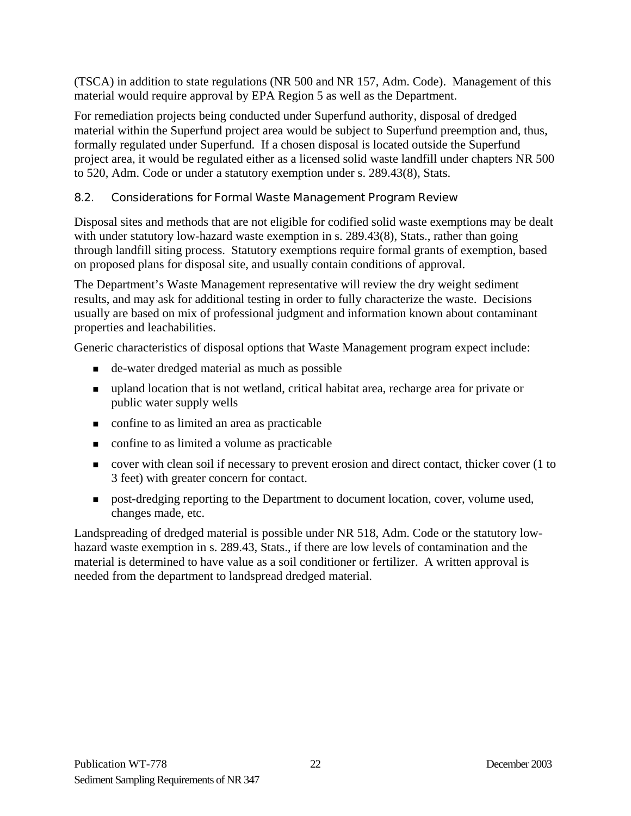<span id="page-24-0"></span>(TSCA) in addition to state regulations (NR 500 and NR 157, Adm. Code). Management of this material would require approval by EPA Region 5 as well as the Department.

For remediation projects being conducted under Superfund authority, disposal of dredged material within the Superfund project area would be subject to Superfund preemption and, thus, formally regulated under Superfund. If a chosen disposal is located outside the Superfund project area, it would be regulated either as a licensed solid waste landfill under chapters NR 500 to 520, Adm. Code or under a statutory exemption under s. 289.43(8), Stats.

## 8.2. Considerations for Formal Waste Management Program Review

Disposal sites and methods that are not eligible for codified solid waste exemptions may be dealt with under statutory low-hazard waste exemption in s. 289.43(8), Stats., rather than going through landfill siting process. Statutory exemptions require formal grants of exemption, based on proposed plans for disposal site, and usually contain conditions of approval.

The Department's Waste Management representative will review the dry weight sediment results, and may ask for additional testing in order to fully characterize the waste. Decisions usually are based on mix of professional judgment and information known about contaminant properties and leachabilities.

Generic characteristics of disposal options that Waste Management program expect include:

- de-water dredged material as much as possible
- upland location that is not wetland, critical habitat area, recharge area for private or public water supply wells
- confine to as limited an area as practicable
- confine to as limited a volume as practicable
- cover with clean soil if necessary to prevent erosion and direct contact, thicker cover (1 to 3 feet) with greater concern for contact.
- post-dredging reporting to the Department to document location, cover, volume used, changes made, etc.

Landspreading of dredged material is possible under NR 518, Adm. Code or the statutory lowhazard waste exemption in s. 289.43, Stats., if there are low levels of contamination and the material is determined to have value as a soil conditioner or fertilizer. A written approval is needed from the department to landspread dredged material.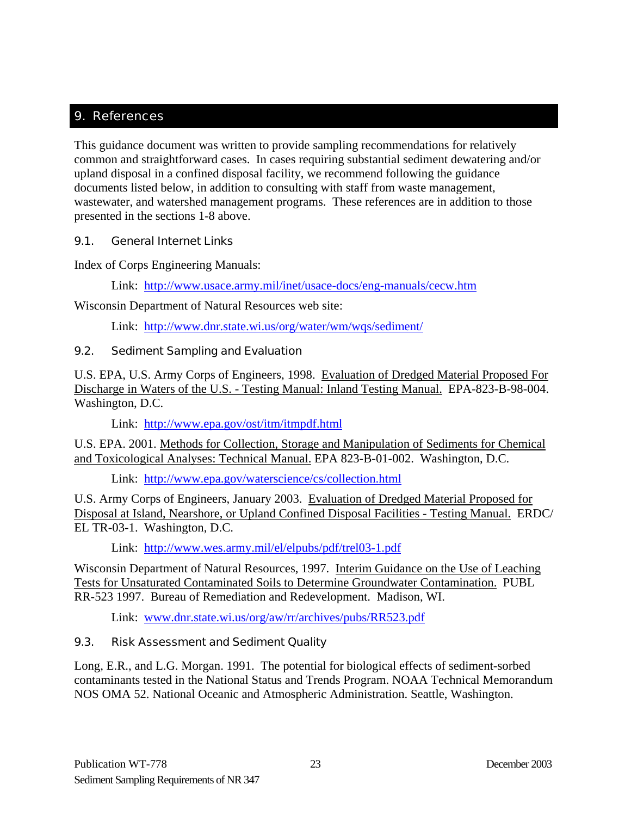## <span id="page-25-0"></span>9. References

This guidance document was written to provide sampling recommendations for relatively common and straightforward cases. In cases requiring substantial sediment dewatering and/or upland disposal in a confined disposal facility, we recommend following the guidance documents listed below, in addition to consulting with staff from waste management, wastewater, and watershed management programs. These references are in addition to those presented in the sections 1-8 above.

#### 9.1. General Internet Links

Index of Corps Engineering Manuals:

Link: <http://www.usace.army.mil/inet/usace-docs/eng-manuals/cecw.htm>

Wisconsin Department of Natural Resources web site:

Link: <http://www.dnr.state.wi.us/org/water/wm/wqs/sediment/>

## 9.2. Sediment Sampling and Evaluation

U.S. EPA, U.S. Army Corps of Engineers, 1998. Evaluation of Dredged Material Proposed For Discharge in Waters of the U.S. - Testing Manual: Inland Testing Manual. EPA-823-B-98-004. Washington, D.C.

Link: <http://www.epa.gov/ost/itm/itmpdf.html>

U.S. EPA. 2001. Methods for Collection, Storage and Manipulation of Sediments for Chemical and Toxicological Analyses: Technical Manual. EPA 823-B-01-002. Washington, D.C.

Link: <http://www.epa.gov/waterscience/cs/collection.html>

U.S. Army Corps of Engineers, January 2003. Evaluation of Dredged Material Proposed for Disposal at Island, Nearshore, or Upland Confined Disposal Facilities - Testing Manual. ERDC/ EL TR-03-1. Washington, D.C.

Link: <http://www.wes.army.mil/el/elpubs/pdf/trel03-1.pdf>

Wisconsin Department of Natural Resources, 1997. Interim Guidance on the Use of Leaching Tests for Unsaturated Contaminated Soils to Determine Groundwater Contamination. PUBL RR-523 1997. Bureau of Remediation and Redevelopment. Madison, WI.

Link: [www.dnr.state.wi.us/org/aw/rr/archives/pubs/RR523.pdf](http://www.dnr.state.wi.us/org/aw/rr/archives/pubs/RR523.pdf)

## 9.3. Risk Assessment and Sediment Quality

Long, E.R., and L.G. Morgan. 1991. The potential for biological effects of sediment-sorbed contaminants tested in the National Status and Trends Program. NOAA Technical Memorandum NOS OMA 52. National Oceanic and Atmospheric Administration. Seattle, Washington.